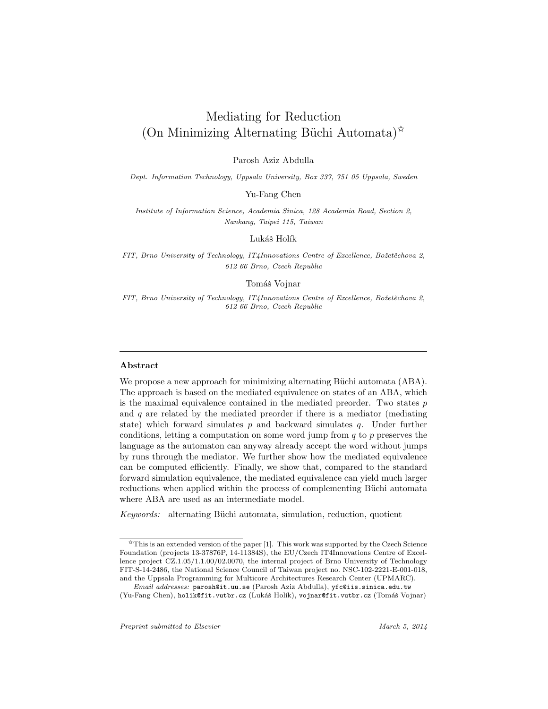# Mediating for Reduction  $(On$  Minimizing Alternating Büchi Automata)<sup><sup> $\chi$ </sup></sup>

Parosh Aziz Abdulla

Dept. Information Technology, Uppsala University, Box 337, 751 05 Uppsala, Sweden

Yu-Fang Chen

Institute of Information Science, Academia Sinica, 128 Academia Road, Section 2, Nankang, Taipei 115, Taiwan

Lukáš Holík

FIT, Brno University of Technology, IT4Innovations Centre of Excellence, Božetěchova 2, 612 66 Brno, Czech Republic

Tomáš Vojnar

FIT, Brno University of Technology, IT4Innovations Centre of Excellence, Božetěchova 2, 612 66 Brno, Czech Republic

#### Abstract

We propose a new approach for minimizing alternating Büchi automata (ABA). The approach is based on the mediated equivalence on states of an ABA, which is the maximal equivalence contained in the mediated preorder. Two states  $p$ and  $q$  are related by the mediated preorder if there is a mediator (mediating state) which forward simulates  $p$  and backward simulates  $q$ . Under further conditions, letting a computation on some word jump from  $q$  to  $p$  preserves the language as the automaton can anyway already accept the word without jumps by runs through the mediator. We further show how the mediated equivalence can be computed efficiently. Finally, we show that, compared to the standard forward simulation equivalence, the mediated equivalence can yield much larger reductions when applied within the process of complementing Büchi automata where ABA are used as an intermediate model.

Keywords: alternating Büchi automata, simulation, reduction, quotient

 $\hat{\mathbf{x}}$  This is an extended version of the paper [1]. This work was supported by the Czech Science Foundation (projects 13-37876P, 14-11384S), the EU/Czech IT4Innovations Centre of Excellence project CZ.1.05/1.1.00/02.0070, the internal project of Brno University of Technology FIT-S-14-2486, the National Science Council of Taiwan project no. NSC-102-2221-E-001-018, and the Uppsala Programming for Multicore Architectures Research Center (UPMARC).

Email addresses: parosh@it.uu.se (Parosh Aziz Abdulla), yfc@iis.sinica.edu.tw (Yu-Fang Chen), holik@fit.vutbr.cz (Lukáš Holík), vojnar@fit.vutbr.cz (Tomáš Vojnar)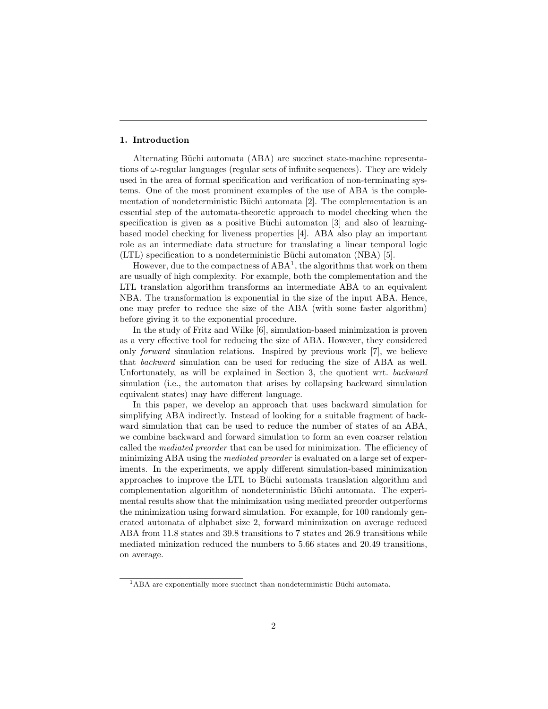## 1. Introduction

Alternating Büchi automata (ABA) are succinct state-machine representations of  $\omega$ -regular languages (regular sets of infinite sequences). They are widely used in the area of formal specification and verification of non-terminating systems. One of the most prominent examples of the use of ABA is the complementation of nondeterministic Büchi automata [2]. The complementation is an essential step of the automata-theoretic approach to model checking when the specification is given as a positive Büchi automaton  $[3]$  and also of learningbased model checking for liveness properties [4]. ABA also play an important role as an intermediate data structure for translating a linear temporal logic (LTL) specification to a nondeterministic Büchi automaton (NBA) [5].

However, due to the compactness of  $ABA^1$ , the algorithms that work on them are usually of high complexity. For example, both the complementation and the LTL translation algorithm transforms an intermediate ABA to an equivalent NBA. The transformation is exponential in the size of the input ABA. Hence, one may prefer to reduce the size of the ABA (with some faster algorithm) before giving it to the exponential procedure.

In the study of Fritz and Wilke [6], simulation-based minimization is proven as a very effective tool for reducing the size of ABA. However, they considered only forward simulation relations. Inspired by previous work [7], we believe that backward simulation can be used for reducing the size of ABA as well. Unfortunately, as will be explained in Section 3, the quotient wrt. backward simulation (i.e., the automaton that arises by collapsing backward simulation equivalent states) may have different language.

In this paper, we develop an approach that uses backward simulation for simplifying ABA indirectly. Instead of looking for a suitable fragment of backward simulation that can be used to reduce the number of states of an ABA, we combine backward and forward simulation to form an even coarser relation called the mediated preorder that can be used for minimization. The efficiency of minimizing ABA using the mediated preorder is evaluated on a large set of experiments. In the experiments, we apply different simulation-based minimization approaches to improve the LTL to Büchi automata translation algorithm and complementation algorithm of nondeterministic Büchi automata. The experimental results show that the minimization using mediated preorder outperforms the minimization using forward simulation. For example, for 100 randomly generated automata of alphabet size 2, forward minimization on average reduced ABA from 11.8 states and 39.8 transitions to 7 states and 26.9 transitions while mediated minization reduced the numbers to 5.66 states and 20.49 transitions, on average.

 $1<sup>1</sup>ABA$  are exponentially more succinct than nondeterministic Büchi automata.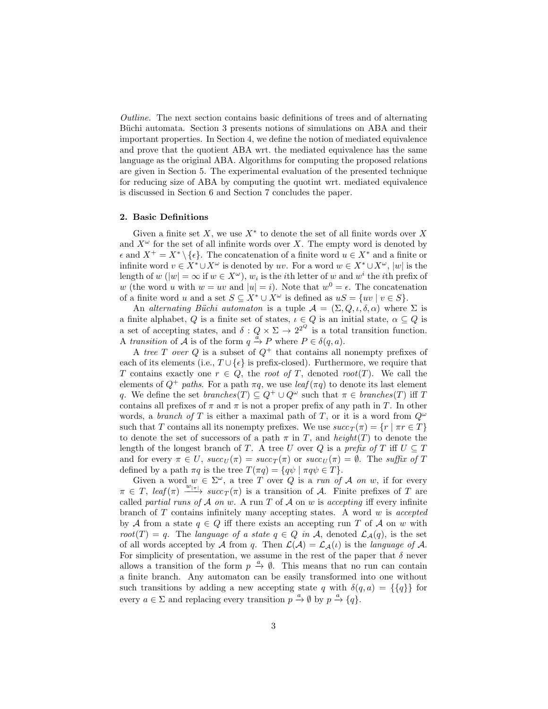Outline. The next section contains basic definitions of trees and of alternating Büchi automata. Section 3 presents notions of simulations on ABA and their important properties. In Section 4, we define the notion of mediated equivalence and prove that the quotient ABA wrt. the mediated equivalence has the same language as the original ABA. Algorithms for computing the proposed relations are given in Section 5. The experimental evaluation of the presented technique for reducing size of ABA by computing the quotint wrt. mediated equivalence is discussed in Section 6 and Section 7 concludes the paper.

#### 2. Basic Definitions

Given a finite set  $X$ , we use  $X^*$  to denote the set of all finite words over X and  $X^{\omega}$  for the set of all infinite words over X. The empty word is denoted by  $\epsilon$  and  $X^+ = X^* \setminus {\epsilon}$ . The concatenation of a finite word  $u \in X^*$  and a finite or infinite word  $v \in X^* \cup X^\omega$  is denoted by uv. For a word  $w \in X^* \cup X^\omega$ , |w| is the length of  $w(|w| = \infty$  if  $w \in X^{\omega}$ ,  $w_i$  is the *i*th letter of  $w$  and  $w^i$  the *i*th prefix of w (the word u with  $w = uv$  and  $|u| = i$ ). Note that  $w^0 = \epsilon$ . The concatenation of a finite word u and a set  $S \subseteq X^* \cup X^\omega$  is defined as  $uS = \{uv \mid v \in S\}.$ 

An alternating Büchi automaton is a tuple  $A = (\Sigma, Q, \iota, \delta, \alpha)$  where  $\Sigma$  is a finite alphabet, Q is a finite set of states,  $\iota \in Q$  is an initial state,  $\alpha \subseteq Q$  is a set of accepting states, and  $\delta: Q \times \Sigma \to 2^{2^Q}$  is a total transition function. A transition of  $\tilde{A}$  is of the form  $q \stackrel{\tilde{a}}{\rightarrow} P$  where  $P \in \delta(q, a)$ .

A tree T over Q is a subset of  $Q^+$  that contains all nonempty prefixes of each of its elements (i.e.,  $T \cup {\epsilon}$ ) is prefix-closed). Furthermore, we require that T contains exactly one  $r \in Q$ , the root of T, denoted root(T). We call the elements of  $Q^+$  paths. For a path  $\pi q$ , we use  $leaf(\pi q)$  to denote its last element q. We define the set  $branches(T) \subseteq Q^+ \cup Q^{\omega}$  such that  $\pi \in branches(T)$  iff T contains all prefixes of  $\pi$  and  $\pi$  is not a proper prefix of any path in T. In other words, a branch of T is either a maximal path of T, or it is a word from  $Q^{\omega}$ such that T contains all its nonempty prefixes. We use  $succ_T(\pi) = \{r \mid \pi r \in T\}$ to denote the set of successors of a path  $\pi$  in T, and height(T) to denote the length of the longest branch of T. A tree U over Q is a prefix of T iff  $U \subseteq T$ and for every  $\pi \in U$ ,  $succ_U(\pi) = succ_T(\pi)$  or  $succ_U(\pi) = \emptyset$ . The suffix of T defined by a path  $\pi q$  is the tree  $T(\pi q) = \{q\psi \mid \pi q\psi \in T\}.$ 

Given a word  $w \in \Sigma^{\omega}$ , a tree T over Q is a run of A on w, if for every  $\pi \in T$ ,  $leaf(\pi) \xrightarrow{w_{|\pi|}} succ_T(\pi)$  is a transition of A. Finite prefixes of T are called partial runs of  $A$  on  $w$ . A run  $T$  of  $A$  on  $w$  is accepting iff every infinite branch of  $T$  contains infinitely many accepting states. A word  $w$  is accepted by A from a state  $q \in Q$  iff there exists an accepting run T of A on w with root(T) = q. The language of a state  $q \in Q$  in A, denoted  $\mathcal{L}_{\mathcal{A}}(q)$ , is the set of all words accepted by A from q. Then  $\mathcal{L}(\mathcal{A}) = \mathcal{L}_{\mathcal{A}}(\iota)$  is the *language of* A. For simplicity of presentation, we assume in the rest of the paper that  $\delta$  never allows a transition of the form  $p \stackrel{a}{\rightarrow} \emptyset$ . This means that no run can contain a finite branch. Any automaton can be easily transformed into one without such transitions by adding a new accepting state q with  $\delta(q, a) = {\{q\}}$  for every  $a \in \Sigma$  and replacing every transition  $p \stackrel{a}{\rightarrow} \emptyset$  by  $p \stackrel{a}{\rightarrow} \{q\}$ .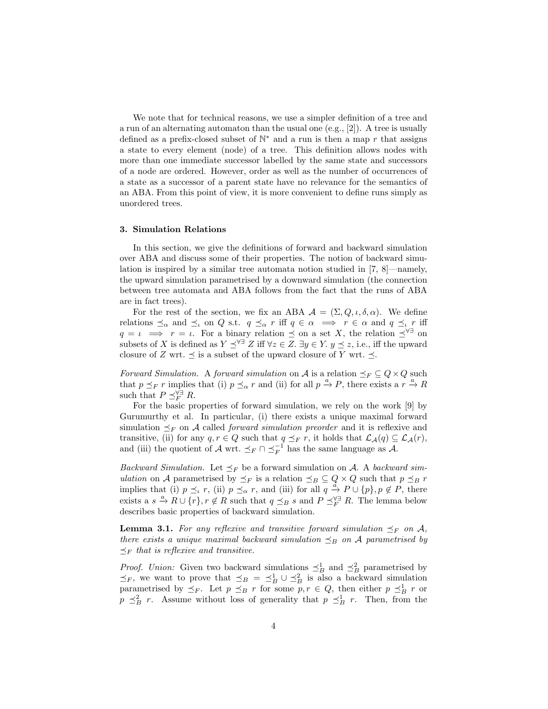We note that for technical reasons, we use a simpler definition of a tree and a run of an alternating automaton than the usual one (e.g., [2]). A tree is usually defined as a prefix-closed subset of  $\mathbb{N}^*$  and a run is then a map r that assigns a state to every element (node) of a tree. This definition allows nodes with more than one immediate successor labelled by the same state and successors of a node are ordered. However, order as well as the number of occurrences of a state as a successor of a parent state have no relevance for the semantics of an ABA. From this point of view, it is more convenient to define runs simply as unordered trees.

#### 3. Simulation Relations

In this section, we give the definitions of forward and backward simulation over ABA and discuss some of their properties. The notion of backward simulation is inspired by a similar tree automata notion studied in [7, 8]—namely, the upward simulation parametrised by a downward simulation (the connection between tree automata and ABA follows from the fact that the runs of ABA are in fact trees).

For the rest of the section, we fix an ABA  $\mathcal{A} = (\Sigma, Q, \iota, \delta, \alpha)$ . We define relations  $\preceq_\alpha$  and  $\preceq_\iota$  on Q s.t.  $q \preceq_\alpha r$  iff  $q \in \alpha \implies r \in \alpha$  and  $q \preceq_\iota r$  iff  $q = \iota \implies r = \iota$ . For a binary relation  $\preceq$  on a set X, the relation  $\preceq^{\forall \exists}$  on subsets of X is defined as  $Y \preceq^{\forall \exists} Z$  iff  $\forall z \in Z$ .  $\exists y \in Y$ .  $y \preceq z$ , i.e., iff the upward closure of Z wrt.  $\preceq$  is a subset of the upward closure of Y wrt.  $\preceq$ .

Forward Simulation. A forward simulation on A is a relation  $\preceq_F \subseteq Q \times Q$  such that  $p \leq_F r$  implies that (i)  $p \leq_\alpha r$  and (ii) for all  $p \stackrel{a}{\to} P$ , there exists a  $r \stackrel{a}{\to} R$ such that  $P \preceq_F^{\forall \exists} R$ .

For the basic properties of forward simulation, we rely on the work [9] by Gurumurthy et al. In particular, (i) there exists a unique maximal forward simulation  $\preceq_F$  on A called *forward simulation preorder* and it is reflexive and transitive, (ii) for any  $q, r \in Q$  such that  $q \preceq_F r$ , it holds that  $\mathcal{L}_{\mathcal{A}}(q) \subseteq \mathcal{L}_{\mathcal{A}}(r)$ , and (iii) the quotient of A wrt.  $\preceq_F \cap \preceq_F^{-1}$  has the same language as A.

*Backward Simulation.* Let  $\preceq_F$  be a forward simulation on A. A backward simulation on A parametrised by  $\preceq_F$  is a relation  $\preceq_B \subseteq Q \times Q$  such that  $p \preceq_B r$ implies that (i)  $p \leq_{\iota} r$ , (ii)  $p \leq_{\alpha} r$ , and (iii) for all  $q \stackrel{a}{\to} P \cup \{p\}$ ,  $p \notin P$ , there exists a  $s \stackrel{a}{\to} R \cup \{r\}, r \notin R$  such that  $q \preceq_B s$  and  $P \preceq_F^{\forall \exists} R$ . The lemma below describes basic properties of backward simulation.

**Lemma 3.1.** For any reflexive and transitive forward simulation  $\preceq_F$  on A, there exists a unique maximal backward simulation  $\leq_B$  on A parametrised by  $\preceq_F$  that is reflexive and transitive.

*Proof.* Union: Given two backward simulations  $\preceq_B^1$  and  $\preceq_B^2$  parametrised by  $\preceq_F$ , we want to prove that  $\preceq_B = \preceq_B^1 \cup \preceq_B^2$  is also a backward simulation parametrised by  $\preceq_F$ . Let  $p \preceq_B r$  for some  $p, r \in Q$ , then either  $p \preceq_B^1 r$  or  $p \leq_B^2 r$ . Assume without loss of generality that  $p \leq_B^1 r$ . Then, from the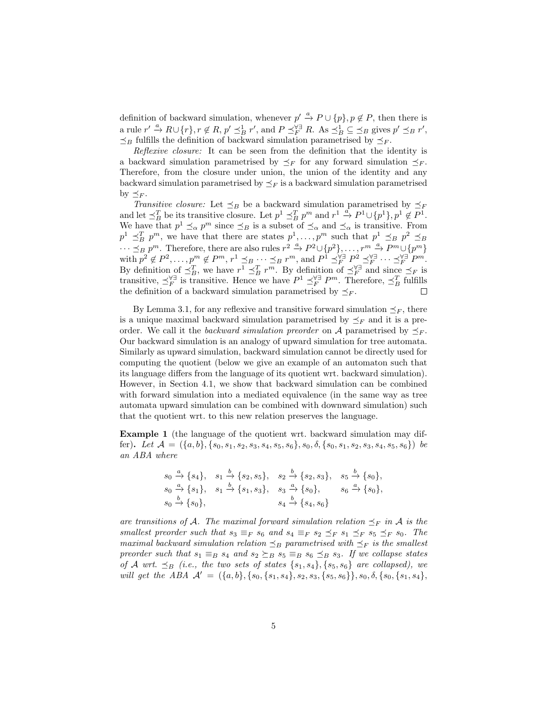definition of backward simulation, whenever  $p' \stackrel{a}{\rightarrow} P \cup \{p\}$ ,  $p \notin P$ , then there is a rule  $r' \stackrel{a}{\rightarrow} R \cup \{r\}, r \notin R, p' \preceq_B^1 r'$ , and  $P \preceq_F^{\forall \exists} R$ . As  $\preceq_B^1 \subseteq \preceq_B$  gives  $p' \preceq_B r'$ ,  $\preceq_B$  fulfills the definition of backward simulation parametrised by  $\preceq_F$ .

Reflexive closure: It can be seen from the definition that the identity is a backward simulation parametrised by  $\preceq_F$  for any forward simulation  $\preceq_F$ . Therefore, from the closure under union, the union of the identity and any backward simulation parametrised by  $\preceq_F$  is a backward simulation parametrised by  $\preceq_F$ .

Transitive closure: Let  $\preceq_B$  be a backward simulation parametrised by  $\preceq_F$ and let  $\preceq_B^T$  be its transitive closure. Let  $p^1 \preceq_B^T p^m$  and  $r^1 \stackrel{a}{\to} P^1 \cup \{p^1\}, p^1 \not\in \overline{P}^1$ . We have that  $p^1 \preceq_\alpha p^m$  since  $\preceq_B$  is a subset of  $\preceq_\alpha$  and  $\preceq_\alpha$  is transitive. From  $p^1 \preceq_B^T p^m$ , we have that there are states  $p^1, \ldots, p^m$  such that  $p^1 \preceq_B p^2 \preceq_B p^2$  $\cdots \preceq_B p^m$ . Therefore, there are also rules  $r^2 \stackrel{a}{\rightarrow} P^2 \cup \{p^2\}, \ldots, r^m \stackrel{a}{\rightarrow} P^m \cup \{p^m\}$ with  $p^2 \notin P^2, \ldots, p^m \notin P^m, r^1 \preceq_{B} \ldots \preceq_{B} r^m$ , and  $P^1 \preceq^{\forall \exists}_{F} P^2 \preceq^{\forall \exists}_{F} \cdots \preceq^{\forall \exists}_{F} P^m$ . By definition of  $\preceq_B^T$ , we have  $r^1 \preceq_B^T r^m$ . By definition of  $\preceq_F^{\forall \exists}$  and since  $\preceq_F$  is transitive,  $\preceq_F^{\forall \exists}$  is transitive. Hence we have  $P^1 \preceq_F^{\forall \exists} P^m$ . Therefore,  $\preceq_B^T$  fulfills the definition of a backward simulation parametrised by  $\preceq_F$ .

By Lemma 3.1, for any reflexive and transitive forward simulation  $\preceq_F$ , there is a unique maximal backward simulation parametrised by  $\preceq_F$  and it is a preorder. We call it the backward simulation preorder on A parametrised by  $\preceq_F$ . Our backward simulation is an analogy of upward simulation for tree automata. Similarly as upward simulation, backward simulation cannot be directly used for computing the quotient (below we give an example of an automaton such that its language differs from the language of its quotient wrt. backward simulation). However, in Section 4.1, we show that backward simulation can be combined with forward simulation into a mediated equivalence (in the same way as tree automata upward simulation can be combined with downward simulation) such that the quotient wrt. to this new relation preserves the language.

Example 1 (the language of the quotient wrt. backward simulation may differ). Let  $\mathcal{A} = (\{a, b\}, \{s_0, s_1, s_2, s_3, s_4, s_5, s_6\}, s_0, \delta, \{s_0, s_1, s_2, s_3, s_4, s_5, s_6\})$  be an ABA where

$$
s_0 \xrightarrow{a} \{s_4\}, \quad s_1 \xrightarrow{b} \{s_2, s_5\}, \quad s_2 \xrightarrow{b} \{s_2, s_3\}, \quad s_5 \xrightarrow{b} \{s_0\}, s_0 \xrightarrow{a} \{s_1\}, \quad s_1 \xrightarrow{b} \{s_1, s_3\}, \quad s_3 \xrightarrow{a} \{s_0\}, \quad s_6 \xrightarrow{a} \{s_0\}, s_0 \xrightarrow{b} \{s_0\}, \quad s_4 \xrightarrow{b} \{s_4, s_6\}
$$

are transitions of A. The maximal forward simulation relation  $\preceq_F$  in A is the smallest preorder such that  $s_3 \equiv_F s_6$  and  $s_4 \equiv_F s_2 \preceq_F s_1 \preceq_F s_5 \preceq_F s_0$ . The maximal backward simulation relation  $\preceq_B$  parametrised with  $\preceq_F$  is the smallest preorder such that  $s_1 \equiv_B s_4$  and  $s_2 \succeq_B s_5 \equiv_B s_6 \preceq_B s_3$ . If we collapse states of A wrt.  $\preceq_B$  (i.e., the two sets of states  $\{s_1, s_4\}, \{s_5, s_6\}$  are collapsed), we will get the ABA  $\mathcal{A}' = (\{a, b\}, \{s_0, \{s_1, s_4\}, s_2, s_3, \{s_5, s_6\}\}, s_0, \delta, \{s_0, \{s_1, s_4\},$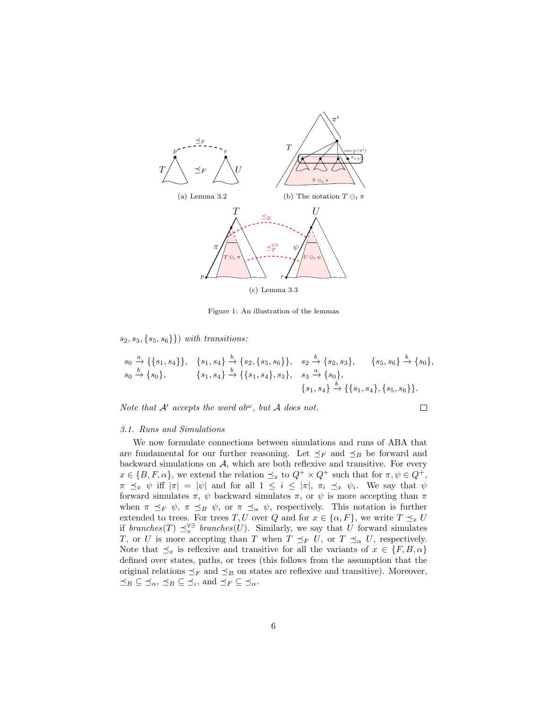

Figure 1: An illustration of the lemmas

 $s_2, s_3, \{s_5, s_6\}\}\)$  with transitions:

$$
s_0 \xrightarrow{a} \{\{s_1, s_4\}\}, \quad \{s_1, s_4\} \xrightarrow{b} \{s_2, \{s_5, s_6\}\}, \quad s_2 \xrightarrow{b} \{s_2, s_3\}, \quad \{s_5, s_6\} \xrightarrow{b} \{s_0\}, s_0 \xrightarrow{b} \{s_0\}, \quad \{s_1, s_4\} \xrightarrow{b} \{\{s_1, s_4\}, s_3\}, \quad s_3 \xrightarrow{a} \{s_0\}, \{s_1, s_4\} \xrightarrow{b} \{\{s_1, s_4\}, \{s_5, s_6\}\}.
$$

Note that  $A'$  accepts the word ab<sup> $\omega$ </sup>, but  $A$  does not.

$$
\Box
$$

#### 3.1. Runs and Simulations

We now formulate connections between simulations and runs of ABA that are fundamental for our further reasoning. Let  $\preceq_F$  and  $\preceq_B$  be forward and backward simulations on  $A$ , which are both reflexive and transitive. For every  $x \in \{B, F, \alpha\}$ , we extend the relation  $\preceq_x$  to  $Q^+ \times Q^+$  such that for  $\pi, \psi \in Q^+$ ,  $\pi \preceq_x \psi$  iff  $|\pi| = |\psi|$  and for all  $1 \leq i \leq |\pi|$ ,  $\pi_i \preceq_x \psi_i$ . We say that  $\psi$ forward simulates  $\pi$ ,  $\psi$  backward simulates  $\pi$ , or  $\psi$  is more accepting than  $\pi$ when  $\pi \preceq_F \psi$ ,  $\pi \preceq_B \psi$ , or  $\pi \preceq_\alpha \psi$ , respectively. This notation is further extended to trees. For trees T, U over Q and for  $x \in \{\alpha, F\}$ , we write  $T \preceq_x U$ if branches(T)  $\preceq_x^{\forall \exists}$  branches(U). Similarly, we say that U forward simulates T, or U is more accepting than T when  $T \preceq_F U$ , or  $T \preceq_\alpha U$ , respectively. Note that  $\preceq_x$  is reflexive and transitive for all the variants of  $x \in \{F, B, \alpha\}$ defined over states, paths, or trees (this follows from the assumption that the original relations  $\preceq_F$  and  $\preceq_B$  on states are reflexive and transitive). Moreover,  $\preceq_B \subseteq \preceq_\alpha, \preceq_B \subseteq \preceq_\iota$ , and  $\preceq_F \subseteq \preceq_\alpha$ .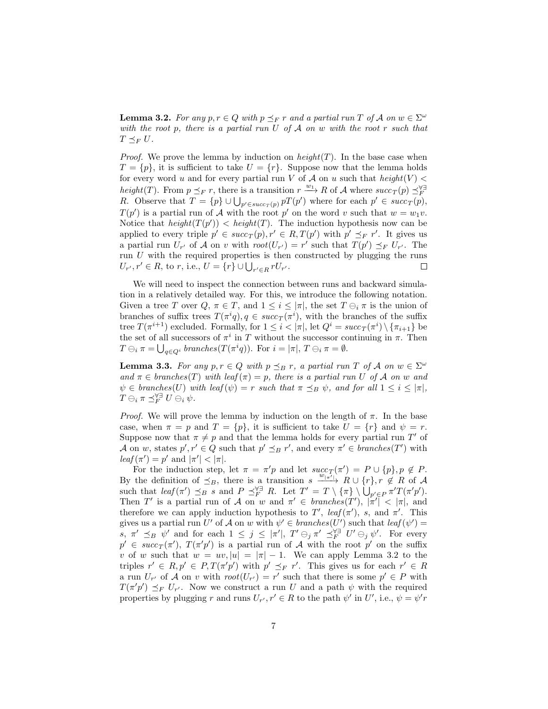**Lemma 3.2.** For any  $p, r \in Q$  with  $p \leq_F r$  and a partial run T of A on  $w \in \Sigma^{\omega}$ with the root p, there is a partial run  $U$  of  $A$  on  $w$  with the root r such that  $T \preceq_F U$ .

*Proof.* We prove the lemma by induction on  $height(T)$ . In the base case when  $T = \{p\}$ , it is sufficient to take  $U = \{r\}$ . Suppose now that the lemma holds for every word u and for every partial run V of A on u such that  $height(V)$ height(T). From  $p \leq_F r$ , there is a transition  $r \xrightarrow{w_1} R$  of A where  $succ_T(p) \leq_F R$ .<br>
R. Observe that  $T = \{p\} \cup \bigcup_{p' \in succ_T(p)} pT(p')$  where for each  $p' \in succ_T(p)$ ,  $T(p')$  is a partial run of A with the root p' on the word v such that  $w = w_1v$ . Notice that  $height(T(p')) < height(T)$ . The induction hypothesis now can be applied to every triple  $p' \in succ_T(p), r' \in R, T(p')$  with  $p' \preceq_F r'$ . It gives us a partial run  $U_{r'}$  of A on v with  $root(U_{r'}) = r'$  such that  $T(p') \preceq_F U_{r'}$ . The run  $U$  with the required properties is then constructed by plugging the runs  $U_{r'}, r' \in R$ , to r, i.e.,  $U = \{r\} \cup \bigcup_{r' \in R} rU_{r'}$ .  $\Box$ 

We will need to inspect the connection between runs and backward simulation in a relatively detailed way. For this, we introduce the following notation. Given a tree T over  $Q, \pi \in T$ , and  $1 \leq i \leq |\pi|$ , the set  $T \ominus_i \pi$  is the union of branches of suffix trees  $T(\pi^i q)$ ,  $q \in succ_T(\pi^i)$ , with the branches of the suffix tree  $T(\pi^{i+1})$  excluded. Formally, for  $1 \leq i < |\pi|$ , let  $Q^i = succ_T(\pi^i) \setminus {\lbrace \pi_{i+1} \rbrace}$  be the set of all successors of  $\pi^i$  in T without the successor continuing in  $\pi$ . Then  $T \ominus_i \pi = \bigcup_{q \in Q^i} branches(T(\pi^iq)).$  For  $i = |\pi|, T \ominus_i \pi = \emptyset.$ 

**Lemma 3.3.** For any  $p, r \in Q$  with  $p \leq_B r$ , a partial run T of A on  $w \in \Sigma^{\omega}$ and  $\pi \in branches(T)$  with leaf $(\pi)=p$ , there is a partial run U of A on w and  $\psi \in branches(U)$  with leaf  $(\psi) = r$  such that  $\pi \preceq_B \psi$ , and for all  $1 \leq i \leq |\pi|$ ,  $T\ominus_i \pi \preceq_F^{\forall\exists} U\ominus_i \psi$ .

*Proof.* We will prove the lemma by induction on the length of  $\pi$ . In the base case, when  $\pi = p$  and  $T = \{p\}$ , it is sufficient to take  $U = \{r\}$  and  $\psi = r$ . Suppose now that  $\pi \neq p$  and that the lemma holds for every partial run T' of A on w, states  $p', r' \in Q$  such that  $p' \preceq_B r'$ , and every  $\pi' \in branches(T')$  with  $leaf(\pi') = p'$  and  $|\pi'| < |\pi|$ .

For the induction step, let  $\pi = \pi' p$  and let  $succ_T(\pi') = P \cup \{p\}, p \notin P$ . By the definition of  $\leq_B$ , there is a transition s  $\xrightarrow{w_{\lfloor \pi'\rfloor}} R \cup \{r\}$ ,  $r \notin R$  of A such that  $\text{leaf}(\pi') \preceq_B s$  and  $P \preceq_F^{\forall \exists} R$ . Let  $T' = T \setminus {\{\pi\}} \setminus \bigcup_{p' \in P} \pi' T(\pi' p')$ . Then T' is a partial run of A on w and  $\pi' \in branches(T')$ ,  $|\pi'|\leq |\pi|$ , and therefore we can apply induction hypothesis to T',  $leaf(\pi')$ , s, and  $\pi'$ . This gives us a partial run U' of A on w with  $\psi' \in branches(U')$  such that  $leaf(\psi')=$ s,  $\pi' \preceq_B \psi'$  and for each  $1 \leq j \leq |\pi'|$ ,  $T' \ominus_j \pi' \preceq_F^{\forall \exists} U' \ominus_j \psi'$ . For every  $p' \in succ_T(\pi'), T(\pi'p')$  is a partial run of A with the root p' on the suffix v of w such that  $w = uv, |u| = |\pi| - 1$ . We can apply Lemma 3.2 to the triples  $r' \in R$ ,  $p' \in P$ ,  $T(\pi'p')$  with  $p' \preceq_F r'$ . This gives us for each  $r' \in R$ a run  $U_{r'}$  of A on v with  $root(U_{r'}) = r'$  such that there is some  $p' \in P$  with  $T(\pi'p') \preceq_F U_{r'}$ . Now we construct a run U and a path  $\psi$  with the required properties by plugging r and runs  $U_{r'}, r' \in R$  to the path  $\psi'$  in U', i.e.,  $\psi = \psi' r$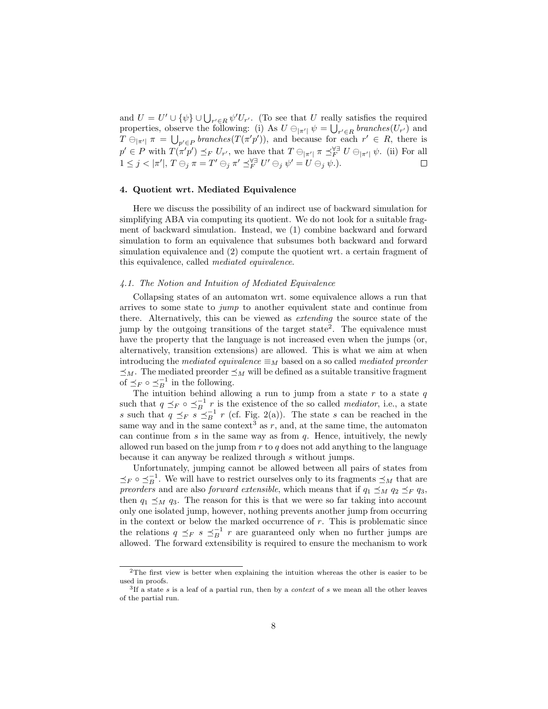and  $U = U' \cup {\psi} \cup \bigcup_{r' \in R} \psi' U_{r'}$ . (To see that U really satisfies the required properties, observe the following: (i) As  $U \ominus_{|\pi'|} \psi = \bigcup_{r' \in R} branches(U_{r'})$  and  $T \ominus_{|\pi'|} \pi = \bigcup_{p' \in P} branches(T(\pi'p'))$ , and because for each  $r' \in R$ , there is  $p' \in P$  with  $T(\pi'p') \preceq_F U_{r'}$ , we have that  $T \ominus_{|\pi'|} \pi \preceq_F^{\forall \exists} U \ominus_{|\pi'|} \psi$ . (ii) For all  $1 \leq j < |\pi'|$ ,  $T \ominus_j \pi = T' \ominus_j \pi' \preceq_F^{\forall \exists} U' \ominus_j \psi' = U \ominus_j \psi$ .

## 4. Quotient wrt. Mediated Equivalence

Here we discuss the possibility of an indirect use of backward simulation for simplifying ABA via computing its quotient. We do not look for a suitable fragment of backward simulation. Instead, we (1) combine backward and forward simulation to form an equivalence that subsumes both backward and forward simulation equivalence and (2) compute the quotient wrt. a certain fragment of this equivalence, called mediated equivalence.

## 4.1. The Notion and Intuition of Mediated Equivalence

Collapsing states of an automaton wrt. some equivalence allows a run that arrives to some state to jump to another equivalent state and continue from there. Alternatively, this can be viewed as extending the source state of the jump by the outgoing transitions of the target state<sup>2</sup>. The equivalence must have the property that the language is not increased even when the jumps (or, alternatively, transition extensions) are allowed. This is what we aim at when introducing the mediated equivalence  $\equiv_M$  based on a so called mediated preorder  $\preceq_M$  . The mediated preorder  $\preceq_M$  will be defined as a suitable transitive fragment of  $\preceq_F \circ \preceq_B^{-1}$  in the following.

The intuition behind allowing a run to jump from a state  $r$  to a state  $q$ such that  $q \preceq_F \circ \preceq_B^{-1} r$  is the existence of the so called *mediator*, i.e., a state s such that  $q \preceq_F s \preceq_B^{-1} r$  (cf. Fig. 2(a)). The state s can be reached in the same way and in the same context<sup>3</sup> as  $r$ , and, at the same time, the automaton can continue from  $s$  in the same way as from  $q$ . Hence, intuitively, the newly allowed run based on the jump from  $r$  to  $q$  does not add anything to the language because it can anyway be realized through s without jumps.

Unfortunately, jumping cannot be allowed between all pairs of states from  $\preceq_F \circ \preceq_B^{-1}$ . We will have to restrict ourselves only to its fragments  $\preceq_M$  that are preorders and are also forward extensible, which means that if  $q_1 \preceq_M q_2 \preceq_F q_3$ , then  $q_1 \preceq_M q_3$ . The reason for this is that we were so far taking into account only one isolated jump, however, nothing prevents another jump from occurring in the context or below the marked occurrence of  $r$ . This is problematic since the relations  $q \preceq_F s \preceq_B^{-1} r$  are guaranteed only when no further jumps are allowed. The forward extensibility is required to ensure the mechanism to work

<sup>2</sup>The first view is better when explaining the intuition whereas the other is easier to be used in proofs.

<sup>&</sup>lt;sup>3</sup>If a state s is a leaf of a partial run, then by a *context* of s we mean all the other leaves of the partial run.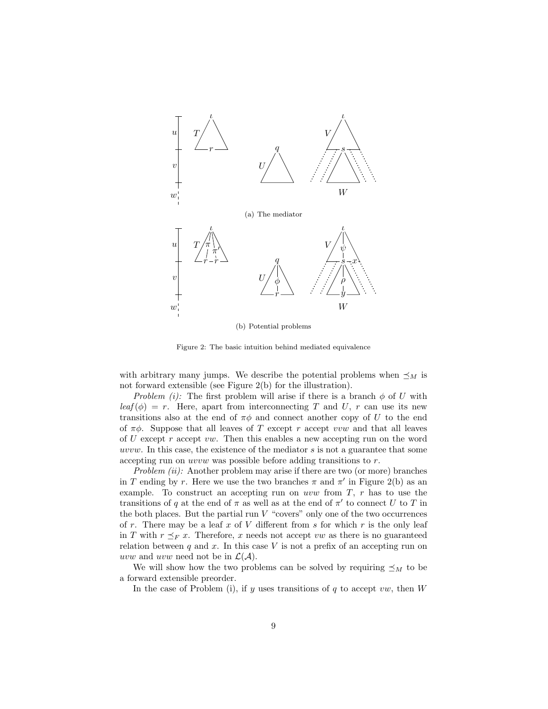

(b) Potential problems

Figure 2: The basic intuition behind mediated equivalence

with arbitrary many jumps. We describe the potential problems when  $\preceq_M$  is not forward extensible (see Figure 2(b) for the illustration).

Problem (i): The first problem will arise if there is a branch  $\phi$  of U with  $\text{leaf}(\phi) = r$ . Here, apart from interconnecting T and U, r can use its new transitions also at the end of  $\pi\phi$  and connect another copy of U to the end of  $\pi\phi$ . Suppose that all leaves of T except r accept vvw and that all leaves of U except r accept vw. Then this enables a new accepting run on the word uvvw. In this case, the existence of the mediator s is not a guarantee that some accepting run on uvvw was possible before adding transitions to r.

Problem  $(ii)$ : Another problem may arise if there are two (or more) branches in T ending by r. Here we use the two branches  $\pi$  and  $\pi'$  in Figure 2(b) as an example. To construct an accepting run on uvw from  $T$ ,  $r$  has to use the transitions of q at the end of  $\pi$  as well as at the end of  $\pi'$  to connect U to T in the both places. But the partial run  $V$  "covers" only one of the two occurrences of r. There may be a leaf x of V different from s for which r is the only leaf in T with  $r \leq_F x$ . Therefore, x needs not accept vw as there is no guaranteed relation between  $q$  and  $x$ . In this case  $V$  is not a prefix of an accepting run on uvw and uvw need not be in  $\mathcal{L}(\mathcal{A})$ .

We will show how the two problems can be solved by requiring  $\preceq_M$  to be a forward extensible preorder.

In the case of Problem (i), if  $y$  uses transitions of  $q$  to accept vw, then  $W$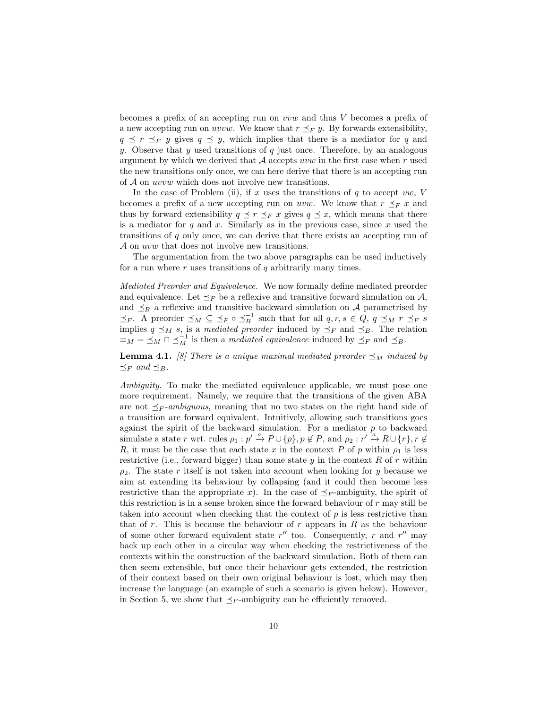becomes a prefix of an accepting run on vvw and thus V becomes a prefix of a new accepting run on *uvvw*. We know that  $r \leq_F y$ . By forwards extensibility,  $q \preceq r \preceq_F y$  gives  $q \preceq y$ , which implies that there is a mediator for q and y. Observe that y used transitions of  $q$  just once. Therefore, by an analogous argument by which we derived that  $A$  accepts uvw in the first case when r used the new transitions only once, we can here derive that there is an accepting run of A on uvvw which does not involve new transitions.

In the case of Problem (ii), if x uses the transitions of q to accept  $vw, V$ becomes a prefix of a new accepting run on uvw. We know that  $r \preceq_F x$  and thus by forward extensibility  $q \leq r \leq_F x$  gives  $q \leq x$ , which means that there is a mediator for  $q$  and  $x$ . Similarly as in the previous case, since  $x$  used the transitions of  $q$  only once, we can derive that there exists an accepting run of A on uvw that does not involve new transitions.

The argumentation from the two above paragraphs can be used inductively for a run where  $r$  uses transitions of  $q$  arbitrarily many times.

Mediated Preorder and Equivalence. We now formally define mediated preorder and equivalence. Let  $\preceq_F$  be a reflexive and transitive forward simulation on A, and  $\preceq_B$  a reflexive and transitive backward simulation on A parametrised by  $\preceq_F$ . A preorder  $\preceq_M \subseteq \preceq_F \circ \preceq_B^{-1}$  such that for all  $q, r, s \in Q$ ,  $q \preceq_M r \preceq_F s$ implies  $q \preceq_M s$ , is a mediated preorder induced by  $\preceq_F$  and  $\preceq_B$ . The relation  $\equiv_M \ = \ \preceq_M \cap \preceq_M^{-1}$  is then a *mediated equivalence* induced by  $\preceq_F$  and  $\preceq_B$ .

**Lemma 4.1.** [8] There is a unique maximal mediated preorder  $\leq_M$  induced by  $\preceq_F$  and  $\preceq_B$ .

Ambiguity. To make the mediated equivalence applicable, we must pose one more requirement. Namely, we require that the transitions of the given ABA are not  $\preceq_F \text{-}ambiguous$ , meaning that no two states on the right hand side of a transition are forward equivalent. Intuitively, allowing such transitions goes against the spirit of the backward simulation. For a mediator  $p$  to backward simulate a state r wrt. rules  $\rho_1: p' \stackrel{a}{\to} P \cup \{p\}, p \notin P$ , and  $\rho_2: r' \stackrel{a}{\to} R \cup \{r\}, r \notin$ R, it must be the case that each state x in the context P of p within  $\rho_1$  is less restrictive (i.e., forward bigger) than some state  $y$  in the context  $R$  of  $r$  within  $\rho_2$ . The state r itself is not taken into account when looking for y because we aim at extending its behaviour by collapsing (and it could then become less restrictive than the appropriate x). In the case of  $\preceq_F$ -ambiguity, the spirit of this restriction is in a sense broken since the forward behaviour of r may still be taken into account when checking that the context of p is less restrictive than that of r. This is because the behaviour of r appears in  $R$  as the behaviour of some other forward equivalent state  $r''$  too. Consequently, r and  $r''$  may back up each other in a circular way when checking the restrictiveness of the contexts within the construction of the backward simulation. Both of them can then seem extensible, but once their behaviour gets extended, the restriction of their context based on their own original behaviour is lost, which may then increase the language (an example of such a scenario is given below). However, in Section 5, we show that  $\preceq_F$ -ambiguity can be efficiently removed.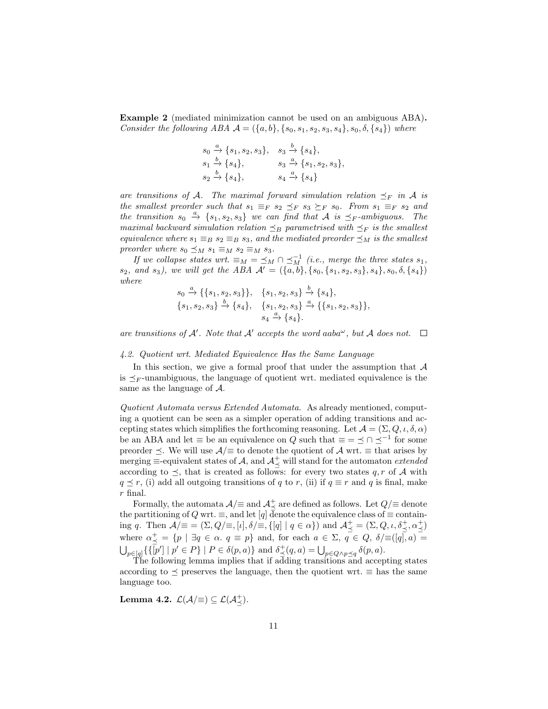Example 2 (mediated minimization cannot be used on an ambiguous ABA). Consider the following ABA  $A = (\{a, b\}, \{s_0, s_1, s_2, s_3, s_4\}, s_0, \delta, \{s_4\})$  where

$$
s_0 \xrightarrow{a} \{s_1, s_2, s_3\}, \quad s_3 \xrightarrow{b} \{s_4\},
$$
  
\n
$$
s_1 \xrightarrow{b} \{s_4\}, \quad s_3 \xrightarrow{a} \{s_1, s_2, s_3\},
$$
  
\n
$$
s_2 \xrightarrow{b} \{s_4\}, \quad s_4 \xrightarrow{a} \{s_4\}
$$

are transitions of A. The maximal forward simulation relation  $\preceq_F$  in A is the smallest preorder such that  $s_1 \equiv_F s_2 \preceq_F s_3 \succeq_F s_0$ . From  $s_1 \equiv_F s_2$  and the transition  $s_0 \stackrel{a}{\rightarrow} \{s_1, s_2, s_3\}$  we can find that A is  $\preceq_F$ -ambiguous. The maximal backward simulation relation  $\preceq_B$  parametrised with  $\preceq_F$  is the smallest equivalence where  $s_1 \equiv_B s_2 \equiv_B s_3$ , and the mediated preorder  $\preceq_M$  is the smallest preorder where  $s_0 \preceq_M s_1 \equiv_M s_2 \equiv_M s_3$ .

If we collapse states wrt.  $\equiv_M \equiv \preceq_M \cap \preceq_M^{-1}$  (i.e., merge the three states  $s_1$ ,  $s_2$ , and  $s_3$ ), we will get the ABA  $\mathcal{A}' = (\{a, b\}, \{s_0, \{s_1, s_2, s_3\}, s_4\}, s_0, \delta, \{s_4\})$ where

$$
s_0 \xrightarrow{a} \{\{s_1, s_2, s_3\}\}, \quad \{s_1, s_2, s_3\} \xrightarrow{b} \{s_4\},\{s_1, s_2, s_3\} \xrightarrow{b} \{s_4\}, \quad \{s_1, s_2, s_3\} \xrightarrow{a} \{\{s_1, s_2, s_3\}\},s_4 \xrightarrow{a} \{s_4\}.
$$

are transitions of  $A'$ . Note that  $A'$  accepts the word aaba $\omega$ , but  $A$  does not.

#### 4.2. Quotient wrt. Mediated Equivalence Has the Same Language

In this section, we give a formal proof that under the assumption that  $A$ is  $\prec_F$ -unambiguous, the language of quotient wrt. mediated equivalence is the same as the language of A.

Quotient Automata versus Extended Automata. As already mentioned, computing a quotient can be seen as a simpler operation of adding transitions and accepting states which simplifies the forthcoming reasoning. Let  $\mathcal{A} = (\Sigma, Q, \iota, \delta, \alpha)$ be an ABA and let  $\equiv$  be an equivalence on Q such that  $\equiv$   $=$   $\leq$   $\cap$   $\leq$ <sup>-1</sup> for some preorder  $\leq$ . We will use  $\mathcal{A}/\equiv$  to denote the quotient of  $\mathcal{A}$  wrt.  $\equiv$  that arises by merging  $\equiv$ -equivalent states of A, and  $\mathcal{A}^+_{\preceq}$  will stand for the automaton *extended* according to  $\preceq$ , that is created as follows: for every two states q, r of A with  $q \preceq r$ , (i) add all outgoing transitions of q to r, (ii) if  $q \equiv r$  and q is final, make r final.

Formally, the automata  $\mathcal{A}/\equiv$  and  $\mathcal{A}^+_\preceq$  are defined as follows. Let  $Q/\equiv$  denote the partitioning of Q wrt.  $\equiv$ , and let [q] denote the equivalence class of  $\equiv$  containing q. Then  $\mathcal{A}/\equiv \equiv (\Sigma, Q/\equiv, [\iota], \delta/\equiv, \{[q] \mid q \in \alpha\})$  and  $\mathcal{A}^+_\preceq = (\Sigma, Q, \iota, \delta^+_\preceq, \alpha^+_\preceq)$ where  $\alpha \neq^+$  =  $\{p \mid \exists q \in \alpha \ldotp q \equiv p\}$  and, for each  $a \in \Sigma$ ,  $q \in Q$ ,  $\delta / \equiv ([q], a)$  =  $\bigcup_{p\in [q]}\{\{\overline{[p']}\mid p'\in P\}\mid P\in \delta(p,a)\}\$  and  $\delta^+_{\preceq}(q,a) = \bigcup_{p\in Q\wedge p\preceq q}\delta(p,a)$ .

The following lemma implies that if adding transitions and accepting states according to  $\leq$  preserves the language, then the quotient wrt.  $\equiv$  has the same language too.

Lemma 4.2.  $\mathcal{L}(\mathcal{A}/\equiv) \subseteq \mathcal{L}(\mathcal{A}^+_{\preceq}).$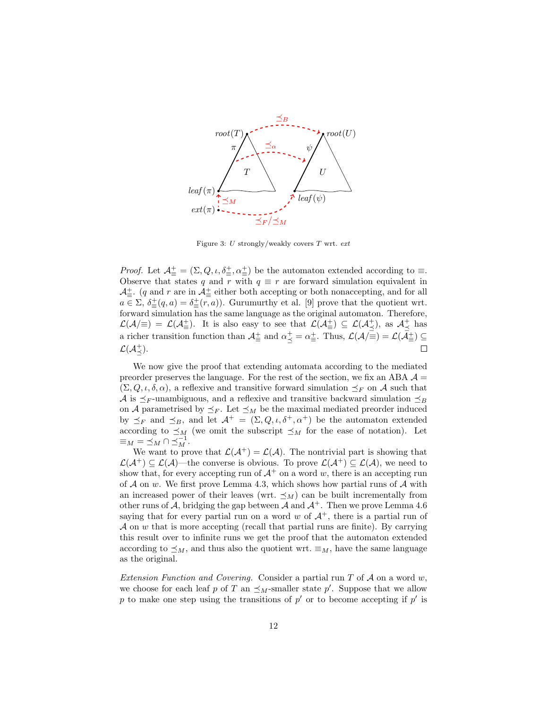

Figure 3: U strongly/weakly covers  $T$  wrt.  $ext$ 

*Proof.* Let  $\mathcal{A}^{\pm}_{\equiv} = (\Sigma, Q, \iota, \delta^{\pm}_{\equiv}, \alpha^{\pm}_{\equiv})$  be the automaton extended according to  $\equiv$ . Observe that states q and r with  $q \equiv r$  are forward simulation equivalent in  $\mathcal{A}^{\pm}_{\equiv}$ . (q and r are in  $\mathcal{A}^{\pm}_{\equiv}$  either both accepting or both nonaccepting, and for all  $a \in \Sigma$ ,  $\delta^{\pm}_{\equiv}(q, a) = \delta^{\pm}_{\equiv}(r, a)$ . Gurumurthy et al. [9] prove that the quotient wrt. forward simulation has the same language as the original automaton. Therefore,  $\mathcal{L}(\mathcal{A}/\equiv) = \mathcal{L}(\mathcal{A}_{\equiv}^{\perp})$ . It is also easy to see that  $\mathcal{L}(\mathcal{A}_{\equiv}^{\perp}) \subseteq \mathcal{L}(\mathcal{A}_{\preceq}^{\perp})$ , as  $\mathcal{A}_{\preceq}^{\perp}$  has a richer transition function than  $\mathcal{A}^{\pm}_{\equiv}$  and  $\alpha^{\pm}_{\preceq} = \alpha^{\pm}_{\equiv}$ . Thus,  $\mathcal{L}(\mathcal{A}/\equiv) = \mathcal{L}(\mathcal{A}^{\pm}_{\equiv}) \subseteq$  $\mathcal{L}(\mathcal{A}^+_{\preceq}).$  $\Box$ 

We now give the proof that extending automata according to the mediated preorder preserves the language. For the rest of the section, we fix an ABA  $\mathcal{A} =$  $(\Sigma, Q, \iota, \delta, \alpha)$ , a reflexive and transitive forward simulation  $\preceq_F$  on A such that A is  $\leq_F$ -unambiguous, and a reflexive and transitive backward simulation  $\leq_B$ on A parametrised by  $\preceq_F$ . Let  $\preceq_M$  be the maximal mediated preorder induced by  $\preceq_F$  and  $\preceq_B$ , and let  $\mathcal{A}^+ = (\Sigma, Q, \iota, \delta^+, \alpha^+)$  be the automaton extended according to  $\preceq_M$  (we omit the subscript  $\preceq_M$  for the ease of notation). Let  $\equiv_M \; = \; \preceq_M \cap \; \preceq_M^{-1}.$ 

We want to prove that  $\mathcal{L}(\mathcal{A}^+) = \mathcal{L}(\mathcal{A})$ . The nontrivial part is showing that  $\mathcal{L}(\mathcal{A}^+) \subseteq \mathcal{L}(\mathcal{A})$ —the converse is obvious. To prove  $\mathcal{L}(\mathcal{A}^+) \subseteq \mathcal{L}(\mathcal{A})$ , we need to show that, for every accepting run of  $A^+$  on a word w, there is an accepting run of A on w. We first prove Lemma 4.3, which shows how partial runs of A with an increased power of their leaves (wrt.  $\preceq_M$ ) can be built incrementally from other runs of A, bridging the gap between A and  $A^+$ . Then we prove Lemma 4.6 saying that for every partial run on a word w of  $A^+$ , there is a partial run of  $\mathcal A$  on  $w$  that is more accepting (recall that partial runs are finite). By carrying this result over to infinite runs we get the proof that the automaton extended according to  $\preceq_M$ , and thus also the quotient wrt.  $\equiv_M$ , have the same language as the original.

Extension Function and Covering. Consider a partial run  $T$  of  $A$  on a word  $w$ , we choose for each leaf p of T an  $\preceq_M$ -smaller state p'. Suppose that we allow p to make one step using the transitions of  $p'$  or to become accepting if  $p'$  is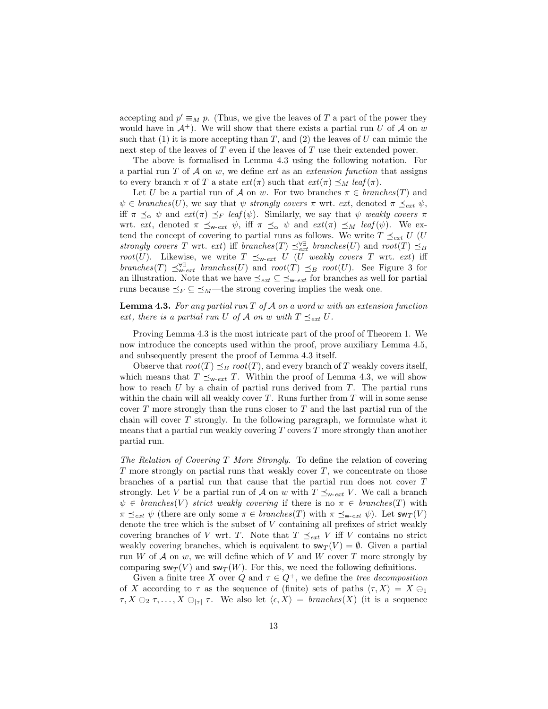accepting and  $p' \equiv_M p$ . (Thus, we give the leaves of T a part of the power they would have in  $A^+$ ). We will show that there exists a partial run U of A on w such that (1) it is more accepting than T, and (2) the leaves of U can mimic the next step of the leaves of T even if the leaves of T use their extended power.

The above is formalised in Lemma 4.3 using the following notation. For a partial run  $T$  of  $A$  on  $w$ , we define ext as an extension function that assigns to every branch  $\pi$  of T a state  $ext(\pi)$  such that  $ext(\pi) \preceq_M \text{leaf} (\pi)$ .

Let U be a partial run of A on w. For two branches  $\pi \in branches(T)$  and  $\psi \in branches(U)$ , we say that  $\psi$  strongly covers  $\pi$  wrt. ext, denoted  $\pi \preceq_{ext} \psi$ , iff  $\pi \preceq_{\alpha} \psi$  and  $ext(\pi) \preceq_F \text{leaf}(\psi)$ . Similarly, we say that  $\psi$  weakly covers  $\pi$ wrt. ext, denoted  $\pi \preceq_{\mathsf{w-ext}} \psi$ , iff  $\pi \preceq_{\alpha} \psi$  and  $ext(\pi) \preceq_M \text{leaf}(\psi)$ . We extend the concept of covering to partial runs as follows. We write  $T \preceq_{ext} U$  (U strongly covers T wrt. ext) iff branches(T)  $\preceq_{ext}^{\forall \exists}$  branches(U) and root(T)  $\preceq_B$ root(U). Likewise, we write  $T \preceq_{w\text{-}ext} U$  (U weakly covers T wrt. ext) iff branches(T)  $\preceq_{\mathbf{w}-ext}^{\forall \exists}$  branches(U) and root(T)  $\preceq_B$  root(U). See Figure 3 for an illustration. Note that we have  $\leq_{ext} \subseteq \leq_{\mathbf{w}-ext}$  for branches as well for partial runs because  $\preceq_F \subseteq \preceq_M$ —the strong covering implies the weak one.

**Lemma 4.3.** For any partial run  $T$  of  $A$  on a word w with an extension function ext, there is a partial run U of A on w with  $T \preceq_{ext} U$ .

Proving Lemma 4.3 is the most intricate part of the proof of Theorem 1. We now introduce the concepts used within the proof, prove auxiliary Lemma 4.5, and subsequently present the proof of Lemma 4.3 itself.

Observe that  $root(T) \preceq_B root(T)$ , and every branch of T weakly covers itself, which means that  $T \preceq_{\mathbf{w}-ext} T$ . Within the proof of Lemma 4.3, we will show how to reach  $U$  by a chain of partial runs derived from  $T$ . The partial runs within the chain will all weakly cover  $T$ . Runs further from  $T$  will in some sense cover  $T$  more strongly than the runs closer to  $T$  and the last partial run of the chain will cover  $T$  strongly. In the following paragraph, we formulate what it means that a partial run weakly covering  $T$  covers  $T$  more strongly than another partial run.

The Relation of Covering T More Strongly. To define the relation of covering  $T$  more strongly on partial runs that weakly cover  $T$ , we concentrate on those branches of a partial run that cause that the partial run does not cover T strongly. Let V be a partial run of A on w with  $T \preceq_{w\text{-}ext} V$ . We call a branch  $\psi \in branches(V)$  strict weakly covering if there is no  $\pi \in branches(T)$  with  $\pi \preceq_{ext} \psi$  (there are only some  $\pi \in branches(T)$  with  $\pi \preceq_{\mathsf{w-ext}} \psi$ ). Let  $\mathsf{sw}_T(V)$ denote the tree which is the subset of V containing all prefixes of strict weakly covering branches of V wrt. T. Note that  $T \preceq_{ext} V$  iff V contains no strict weakly covering branches, which is equivalent to  $sw_T(V) = \emptyset$ . Given a partial run W of  $A$  on  $w$ , we will define which of V and W cover T more strongly by comparing  $\mathsf{sw}_T(V)$  and  $\mathsf{sw}_T(W)$ . For this, we need the following definitions.

Given a finite tree X over Q and  $\tau \in Q^+$ , we define the tree decomposition of X according to  $\tau$  as the sequence of (finite) sets of paths  $\langle \tau, X \rangle = X \ominus_1$  $\tau, X \ominus_2 \tau, \ldots, X \ominus_{|\tau|} \tau$ . We also let  $\langle \epsilon, X \rangle =$  branches(X) (it is a sequence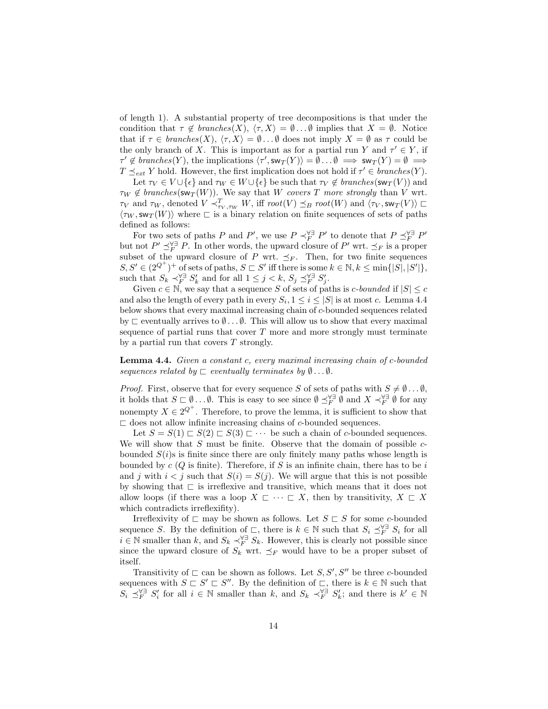of length 1). A substantial property of tree decompositions is that under the condition that  $\tau \notin branches(X), \langle \tau, X \rangle = \emptyset \dots \emptyset$  implies that  $X = \emptyset$ . Notice that if  $\tau \in branches(X), \langle \tau, X \rangle = \emptyset \dots \emptyset$  does not imply  $X = \emptyset$  as  $\tau$  could be the only branch of X. This is important as for a partial run Y and  $\tau' \in Y$ , if  $\tau' \notin branches(Y)$ , the implications  $\langle \tau', sw_T(Y) \rangle = \emptyset \dots \emptyset \implies sw_T(Y) = \emptyset \implies$  $T \preceq_{ext} Y$  hold. However, the first implication does not hold if  $\tau' \in branches(Y)$ .

Let  $\tau_V \in V \cup \{\epsilon\}$  and  $\tau_W \in W \cup \{\epsilon\}$  be such that  $\tau_V \notin branches(\mathsf{sw}_T(V))$  and  $\tau_W \notin branches(\mathsf{sw}_T(W))$ . We say that W covers T more strongly than V wrt.  $\tau_V$  and  $\tau_W$ , denoted  $V \prec^T_{\tau_V, \tau_W} W$ , iff  $root(V) \preceq_B root(W)$  and  $\langle \tau_V, sw_T(V) \rangle \sqsubset$  $\langle \tau_W, \text{sw}_T(W) \rangle$  where  $\sqsubset$  is a binary relation on finite sequences of sets of paths defined as follows:

For two sets of paths P and P', we use  $P \prec_F^{\forall \exists} P'$  to denote that  $P \preceq_F^{\forall \exists} P'$ but not  $P' \preceq_F^{\forall \exists} P$ . In other words, the upward closure of  $P'$  wrt.  $\preceq_F$  is a proper subset of the upward closure of P wrt.  $\preceq_F$ . Then, for two finite sequences  $S, S' \in (2^{Q^+})^+$  of sets of paths,  $S \subset S'$  iff there is some  $k \in \mathbb{N}, k \le \min\{|S|, |S'|\},$ such that  $S_k \prec_F^{\forall \exists} S'_k$  and for all  $1 \leq j < k$ ,  $S_j \preceq_F^{\forall \exists} S'_j$ .

Given  $c \in \mathbb{N}$ , we say that a sequence S of sets of paths is c-bounded if  $|S| \leq c$ and also the length of every path in every  $S_i$ ,  $1 \leq i \leq |S|$  is at most c. Lemma 4.4 below shows that every maximal increasing chain of c-bounded sequences related by  $\sqsubset$  eventually arrives to  $\emptyset \dots \emptyset$ . This will allow us to show that every maximal sequence of partial runs that cover  $T$  more and more strongly must terminate by a partial run that covers  $T$  strongly.

Lemma 4.4. Given a constant c, every maximal increasing chain of c-bounded sequences related by  $\sqsubset$  eventually terminates by  $\emptyset \dots \emptyset$ .

*Proof.* First, observe that for every sequence S of sets of paths with  $S \neq \emptyset \dots \emptyset$ , it holds that  $S \subset \emptyset \dots \emptyset$ . This is easy to see since  $\emptyset \preceq_F^{\forall \exists} \emptyset$  and  $X \prec_F^{\forall \exists} \emptyset$  for any nonempty  $X \in 2^{Q^+}$ . Therefore, to prove the lemma, it is sufficient to show that  $\Box$  does not allow infinite increasing chains of c-bounded sequences.

Let  $S = S(1) \sqsubset S(2) \sqsubset S(3) \sqsubset \cdots$  be such a chain of c-bounded sequences. We will show that  $S$  must be finite. Observe that the domain of possible  $c$ bounded  $S(i)$ s is finite since there are only finitely many paths whose length is bounded by  $c(G)$  is finite). Therefore, if S is an infinite chain, there has to be i and j with  $i < j$  such that  $S(i) = S(j)$ . We will argue that this is not possible by showing that  $\sqsubset$  is irreflexive and transitive, which means that it does not allow loops (if there was a loop  $X \subset \cdots \subset X$ , then by transitivity,  $X \subset X$ which contradicts irreflexifity).

Irreflexivity of  $\Box$  may be shown as follows. Let  $S \Box S$  for some c-bounded sequence S. By the definition of  $\Box$ , there is  $k \in \mathbb{N}$  such that  $S_i \preceq_F^{\forall \exists} S_i$  for all  $i \in \mathbb{N}$  smaller than k, and  $S_k \prec_F^{\forall \exists} S_k$ . However, this is clearly not possible since since the upward closure of  $S_k$  wrt.  $\preceq_F$  would have to be a proper subset of itself.

Transitivity of  $\Box$  can be shown as follows. Let  $S, S', S''$  be three c-bounded sequences with  $S \subset S' \subset S''$ . By the definition of  $\subset$ , there is  $k \in \mathbb{N}$  such that  $S_i \preceq_F^{\forall \exists} S'_i$  for all  $i \in \mathbb{N}$  smaller than k, and  $S_k \prec_F^{\forall \exists} S'_k$ ; and there is  $k' \in \mathbb{N}$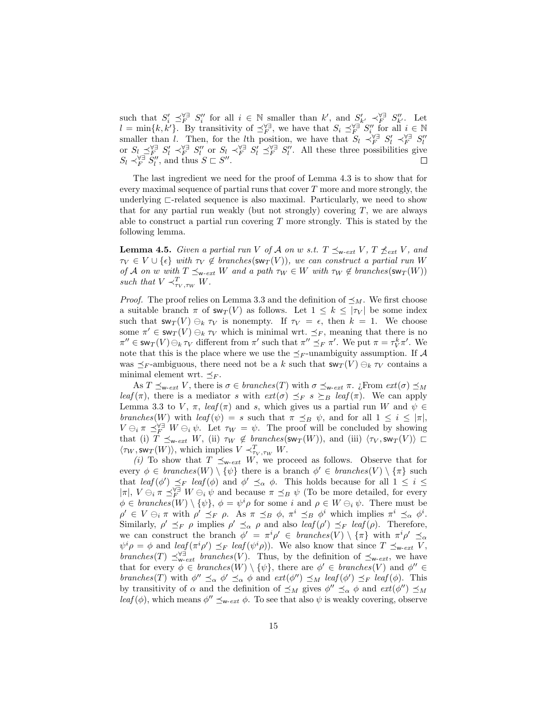such that  $S_i' \preceq_F^{\forall \exists} S_i''$  for all  $i \in \mathbb{N}$  smaller than k', and  $S_{k'}' \preceq_F^{\forall \exists} S_{k'}''$ . Let  $l = \min\{k, k'\}$ . By transitivity of  $\preceq_F^{\forall \exists}$ , we have that  $S_i \preceq_F^{\forall \exists} S_i''$  for all  $i \in \mathbb{N}$ smaller than l. Then, for the lth position, we have that  $S_l \prec_F^{\forall \exists} S'_l \prec_F^{\forall \exists} S''_l$ or  $S_l \preceq^{\forall \exists}_{F} S'_l \prec^{\forall}_{F} S''_l$  or  $S_l \prec^{\forall \exists}_{F} S'_l \preceq^{\forall \exists}_{F} S''_l$ . All these three possibilities give  $S_l \prec_F^{\forall \exists} S_l''$ , and thus  $S \sqsubset S''$ .

The last ingredient we need for the proof of Lemma 4.3 is to show that for every maximal sequence of partial runs that cover  $T$  more and more strongly, the underlying  $\sqsubset$ -related sequence is also maximal. Particularly, we need to show that for any partial run weakly (but not strongly) covering  $T$ , we are always able to construct a partial run covering  $T$  more strongly. This is stated by the following lemma.

**Lemma 4.5.** Given a partial run V of A on w s.t.  $T \preceq_{w-\text{ext}} V$ ,  $T \npreceq_{ext} V$ , and  $\tau_V \in V \cup \{\epsilon\}$  with  $\tau_V \notin branches(\mathsf{sw}_T(V)),$  we can construct a partial run W of A on w with  $T \preceq_{w-\text{ext}} W$  and a path  $\tau_W \in W$  with  $\tau_W \notin branches(\mathsf{sw}_T(W))$ such that  $V \prec^T_{\tau_V, \tau_W} W$ .

*Proof.* The proof relies on Lemma 3.3 and the definition of  $\preceq_M$ . We first choose a suitable branch  $\pi$  of  $sw_T(V)$  as follows. Let  $1 \leq k \leq |\tau_V|$  be some index such that  $\mathsf{sw}_T(V) \ominus_k \tau_V$  is nonempty. If  $\tau_V = \epsilon$ , then  $k = 1$ . We choose some  $\pi' \in \text{sw}_T(V) \ominus_k \tau_V$  which is minimal wrt.  $\preceq_F$ , meaning that there is no  $\pi'' \in \text{sw}_T(V) \ominus_k \tau_V$  different from  $\pi'$  such that  $\pi'' \preceq_F \pi'$ . We put  $\pi = \tau_V^k \pi'$ . We note that this is the place where we use the  $\preceq_F$ -unambiguity assumption. If A was  $\preceq_F$ -ambiguous, there need not be a k such that  $\mathsf{sw}_T(V) \ominus_k \tau_V$  contains a minimal element wrt.  $\preceq_F$ .

As  $T \preceq_{\mathsf{w}-ext} V$ , there is  $\sigma \in branches(T)$  with  $\sigma \preceq_{\mathsf{w}-ext} \pi$ . ¿From  $ext(\sigma) \preceq_M$ leaf( $\pi$ ), there is a mediator s with  $ext(\sigma) \preceq_F s \succeq_B leaf(\pi)$ . We can apply Lemma 3.3 to V,  $\pi$ , leaf( $\pi$ ) and s, which gives us a partial run W and  $\psi \in$ branches (W) with leaf  $(\psi) = s$  such that  $\pi \preceq_B \psi$ , and for all  $1 \leq i \leq |\pi|$ ,  $V \ominus_i \pi \preceq_F^{\forall \exists} W \ominus_i \psi$ . Let  $\tau_W = \psi$ . The proof will be concluded by showing that (i)  $\overline{T} \preceq_{\mathsf{w-ext}} W$ , (ii)  $\tau_W \notin branches(\mathsf{sw}_T(W))$ , and (iii)  $\langle \tau_V, \mathsf{sw}_T(V) \rangle \sqsubset$  $\langle \tau_W, \mathsf{sw}_T(W) \rangle$ , which implies  $V \prec^T_{\tau_V, \tau_W} W$ .

(i) To show that  $T \preceq_{w-\text{ext}} W$ , we proceed as follows. Observe that for every  $\phi \in branches(W) \setminus {\psi}$  there is a branch  $\phi' \in branches(V) \setminus {\pi}$  such that  $\text{leaf}(\phi') \preceq_F \text{leaf}(\phi)$  and  $\phi' \preceq_\alpha \phi$ . This holds because for all  $1 \leq i \leq$  $|\pi|, V \ominus_i \pi \preceq_F^{\forall \exists} W \ominus_i \psi$  and because  $\pi \preceq_B \psi$  (To be more detailed, for every  $\phi \in branches(W) \setminus {\psi}, \phi = \psi^i \rho$  for some i and  $\rho \in W \ominus_i \psi$ . There must be  $\rho' \in V \ominus_i \pi$  with  $\rho' \preceq_F \rho$ . As  $\pi \preceq_B \phi$ ,  $\pi^i \preceq_B \phi^i$  which implies  $\pi^i \preceq_\alpha \phi^i$ . Similarly,  $\rho' \preceq_F \rho$  implies  $\rho' \preceq_\alpha \rho$  and also  $\text{leaf}(\rho') \preceq_F \text{leaf}(\rho)$ . Therefore, we can construct the branch  $\phi' = \pi^i \rho' \in branches(V) \setminus {\pi}$  with  $\pi^i \rho' \preceq_\alpha$  $\psi^i \rho = \phi$  and  $\text{leaf}(\pi^i \rho') \preceq_F \text{leaf}(\psi^i \rho)$ . We also know that since  $T \preceq_{\mathsf{w}\text{-ext}} V$ , branches(T)  $\preceq_{\mathsf{w-ext}}^{\forall \exists}$  branches(V). Thus, by the definition of  $\preceq_{\mathsf{w-ext}}$ , we have that for every  $\phi \in branches(W) \setminus {\psi}$ , there are  $\phi' \in branches(V)$  and  $\phi'' \in$ branches(T) with  $\phi'' \preceq_\alpha \phi' \preceq_\alpha \phi$  and  $ext(\phi'') \preceq_M leaf(\phi') \preceq_F leaf(\phi)$ . This by transitivity of  $\alpha$  and the definition of  $\preceq_M$  gives  $\phi'' \preceq_\alpha \phi$  and  $ext(\phi'') \preceq_M$ leaf( $\phi$ ), which means  $\phi'' \preceq_{w-\text{ext}} \phi$ . To see that also  $\psi$  is weakly covering, observe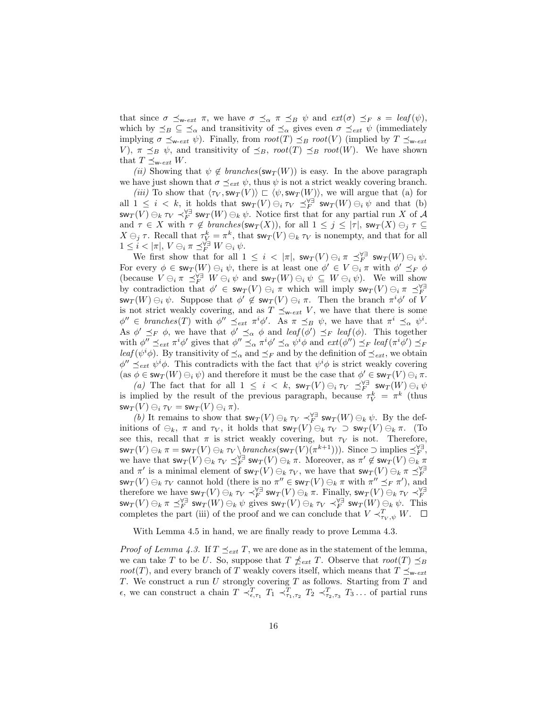that since  $\sigma \preceq_{w-\text{ext}} \pi$ , we have  $\sigma \preceq_{\alpha} \pi \preceq_B \psi$  and  $ext(\sigma) \preceq_F s = \text{leaf}(\psi)$ , which by  $\leq_B \subseteq \leq_{\alpha}$  and transitivity of  $\leq_{\alpha}$  gives even  $\sigma \leq_{ext} \psi$  (immediately implying  $\sigma \preceq_{\mathsf{w-ext}} \psi$ ). Finally, from  $root(T) \preceq_B root(V)$  (implied by  $T \preceq_{\mathsf{w-ext}}$ V),  $\pi \preceq_B \psi$ , and transitivity of  $\preceq_B$ , root(T)  $\preceq_B root(W)$ . We have shown that  $T \preceq_{\mathsf{w-}ext} W$ .

(ii) Showing that  $\psi \notin branches(\mathsf{sw}_T(W))$  is easy. In the above paragraph we have just shown that  $\sigma \preceq_{ext} \psi$ , thus  $\psi$  is not a strict weakly covering branch.

(iii) To show that  $\langle \tau_V, sw_T (V) \rangle \subset \langle \psi, sw_T (W) \rangle$ , we will argue that (a) for all  $1 \leq i \leq k$ , it holds that  $\mathsf{sw}_T(V) \ominus_i \tau_V \preceq_F^{\forall \exists} \mathsf{sw}_T(W) \ominus_i \psi$  and that (b)  $\mathsf{sw}_T(V) \ominus_k \tau_V \prec_F^{\forall \exists} \mathsf{sw}_T(W) \ominus_k \psi$ . Notice first that for any partial run X of A and  $\tau \in X$  with  $\tau \notin branches(\mathsf{sw}_T(X))$ , for all  $1 \leq j \leq |\tau|$ ,  $\mathsf{sw}_T(X) \ominus_j \tau \subseteq$  $X \ominus_j \tau$ . Recall that  $\tau_V^k = \pi^k$ , that  $\text{sw}_T(V) \ominus_k \tau_V$  is nonempty, and that for all  $1 \leq i < |\pi|, V \ominus_i \pi \preceq_F^{\forall \exists} W \ominus_i \psi.$ 

We first show that for all  $1 \leq i < |\pi|$ ,  $\mathsf{sw}_T(V) \ominus_i \pi \preceq_F^{\forall \exists} \mathsf{sw}_T(W) \ominus_i \psi$ . For every  $\phi \in \mathsf{sw}_T(W) \ominus_i \psi$ , there is at least one  $\phi' \in V \ominus_i \pi$  with  $\phi' \preceq_F \phi$ (because  $V \ominus_i \pi \preceq_F^{\forall \exists} W \ominus_i \psi$  and  $\mathsf{sw}_T(W) \ominus_i \psi \subseteq W \ominus_i \psi$ ). We will show by contradiction that  $\phi' \in \mathsf{sw}_T(V) \ominus_i \pi$  which will imply  $\mathsf{sw}_T(V) \ominus_i \pi \preceq_F^{\forall \exists}$  $\mathsf{sw}_T(W) \ominus_i \psi$ . Suppose that  $\phi' \notin \mathsf{sw}_T(V) \ominus_i \pi$ . Then the branch  $\pi^i \phi'$  of V is not strict weakly covering, and as  $T \preceq_{w\text{-}ext} V$ , we have that there is some  $\phi'' \in branches(T)$  with  $\phi'' \preceq_{ext} \pi^i \phi'$ . As  $\pi \preceq_B \psi$ , we have that  $\pi^i \preceq_\alpha \psi^i$ . As  $\phi' \preceq_F \phi$ , we have that  $\phi' \preceq_\alpha \phi$  and  $\text{leaf}(\phi') \preceq_F \text{leaf}(\phi)$ . This together with  $\phi'' \preceq_{ext} \pi^i \phi'$  gives that  $\phi'' \preceq_\alpha \pi^i \phi' \preceq_\alpha \psi^i \phi$  and  $ext(\phi'') \preceq_F \text{leaf}(\pi^i \phi') \preceq_F$ leaf  $(\psi^i \phi)$ . By transitivity of  $\preceq_{\alpha}$  and  $\preceq_F$  and by the definition of  $\preceq_{ext}$ , we obtain  $\phi'' \preceq_{ext} \psi^i \phi$ . This contradicts with the fact that  $\psi^i \phi$  is strict weakly covering  $(\text{as } \phi \in \text{sw}_T(W) \ominus_i \psi)$  and therefore it must be the case that  $\phi' \in \text{sw}_T(V) \ominus_i \pi$ .

(a) The fact that for all  $1 \leq i \leq k$ ,  $\sup_T(V) \ominus_i \tau_V \preceq^{\forall \exists}_{F} \sup_T(W) \ominus_i \psi$ is implied by the result of the previous paragraph, because  $\tau_V^k = \pi^k$  (thus  $\mathsf{sw}_T(V) \ominus_i \tau_V = \mathsf{sw}_T(V) \ominus_i \pi$ .

(b) It remains to show that  $\mathsf{sw}_T(V) \ominus_k \tau_V \prec_F^{\forall \exists} \mathsf{sw}_T(W) \ominus_k \psi$ . By the definitions of  $\ominus_k$ ,  $\pi$  and  $\tau_V$ , it holds that  $\mathsf{sw}_T(V) \ominus_k \tau_V \supset \mathsf{sw}_T(V) \ominus_k \pi$ . (To see this, recall that  $\pi$  is strict weakly covering, but  $\tau_V$  is not. Therefore,  $\mathsf{sw}_T(V) \ominus_k \pi = \mathsf{sw}_T(V) \ominus_k \tau_V \setminus \underline{branches}(\mathsf{sw}_T (V) (\pi^{k+1}))).$  Since  $\supset$  implies  $\preceq_F^{\forall \exists}$ , we have that  $\mathsf{sw}_T(V) \ominus_k \tau_V \preceq_F^{\forall \exists} \mathsf{sw}_T(V) \ominus_k \pi$ . Moreover, as  $\pi' \notin \mathsf{sw}_T(V) \ominus_k \pi$ and  $\pi'$  is a minimal element of  $\mathsf{sw}_T(V) \ominus_k \tau_V$ , we have that  $\mathsf{sw}_T(V) \ominus_k \pi \preceq_F^{\forall \exists}$  $\mathsf{sw}_T(V) \ominus_k \tau_V$  cannot hold (there is no  $\pi'' \in \mathsf{sw}_T(V) \ominus_k \pi$  with  $\pi'' \preceq_F \pi'$ ), and therefore we have  $\mathsf{sw}_T(V) \ominus_k \tau_V \prec_F^{\forall \exists} \mathsf{sw}_T(V) \ominus_k \pi$ . Finally,  $\mathsf{sw}_T(V) \ominus_k \tau_V \prec_F^{\forall \exists}$  $\mathsf{sw}_T(V) \ominus_k \pi \preceq^{\forall \exists}_{F} \mathsf{sw}_T(W) \ominus_k \psi$  gives  $\mathsf{sw}_T(V) \ominus_k \tau_V \prec^{\forall \exists}_{F} \mathsf{sw}_T(W) \ominus_k \psi$ . This completes the part (iii) of the proof and we can conclude that  $V \prec_{\tau_V, \psi}^T W$ .

With Lemma 4.5 in hand, we are finally ready to prove Lemma 4.3.

*Proof of Lemma 4.3.* If  $T \preceq_{ext} T$ , we are done as in the statement of the lemma, we can take T to be U. So, suppose that  $T \nleq_{ext} T$ . Observe that  $root(T) \preceq_B$ root(T), and every branch of T weakly covers itself, which means that  $T \preceq_{w\textrm{-}ext}$ T. We construct a run  $U$  strongly covering  $T$  as follows. Starting from  $T$  and  $\epsilon$ , we can construct a chain  $T \prec_{\epsilon, \tau_1}^T T_1 \prec_{\tau_1, \tau_2}^T T_2 \prec_{\tau_2, \tau_3}^T T_3 \ldots$  of partial runs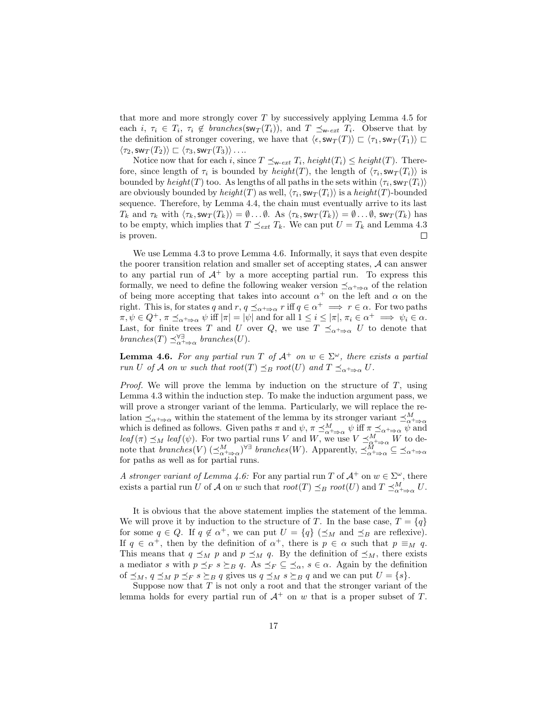that more and more strongly cover  $T$  by successively applying Lemma 4.5 for each *i*,  $\tau_i \in T_i$ ,  $\tau_i \notin branches(\mathsf{sw}_T(T_i))$ , and  $T \preceq_{\mathsf{w-ext}} T_i$ . Observe that by the definition of stronger covering, we have that  $\langle \epsilon, \mathsf{sw}_T (T) \rangle \subset \langle \tau_1, \mathsf{sw}_T (T_1) \rangle \subset$  $\langle \tau_2,\mathsf{sw}_T (T_2)\rangle \sqsubset \langle \tau_3,\mathsf{sw}_T (T_3)\rangle \dots$ 

Notice now that for each i, since  $T \preceq_{w\text{-}ext} T_i$ , height $(T_i) \leq height(T)$ . Therefore, since length of  $\tau_i$  is bounded by  $height(T)$ , the length of  $\langle \tau_i, \mathsf{sw}_T(T_i) \rangle$  is bounded by  $height(T)$  too. As lengths of all paths in the sets within  $\langle \tau_i, \text{sw}_T(T_i) \rangle$ are obviously bounded by  $height(T)$  as well,  $\langle \tau_i, \mathsf{sw}_T(T_i) \rangle$  is a  $height(T)$ -bounded sequence. Therefore, by Lemma 4.4, the chain must eventually arrive to its last  $T_k$  and  $\tau_k$  with  $\langle \tau_k, \mathsf{sw}_T (T_k) \rangle = \emptyset \dots \emptyset$ . As  $\langle \tau_k, \mathsf{sw}_T (T_k) \rangle = \emptyset \dots \emptyset$ ,  $\mathsf{sw}_T (T_k)$  has to be empty, which implies that  $T \preceq_{ext} T_k$ . We can put  $U = T_k$  and Lemma 4.3 is proven.  $\Box$ 

We use Lemma 4.3 to prove Lemma 4.6. Informally, it says that even despite the poorer transition relation and smaller set of accepting states, A can answer to any partial run of  $A^+$  by a more accepting partial run. To express this formally, we need to define the following weaker version  $\preceq_{\alpha^+\Rightarrow\alpha}$  of the relation of being more accepting that takes into account  $\alpha^+$  on the left and  $\alpha$  on the right. This is, for states q and  $r, q \preceq_{\alpha^+ \Rightarrow \alpha} r$  iff  $q \in \alpha^+ \implies r \in \alpha$ . For two paths  $\pi, \psi \in Q^+, \pi \preceq_{\alpha^+ \Rightarrow \alpha} \psi$  iff  $|\pi| = |\psi|$  and for all  $1 \leq i \leq |\pi|, \pi_i \in \alpha^+ \implies \psi_i \in \alpha$ . Last, for finite trees T and U over Q, we use  $T \preceq_{\alpha^+ \Rightarrow \alpha} U$  to denote that branches(T)  $\preceq_{\alpha+\Rightarrow \alpha}^{\forall \exists}$  branches(U).

**Lemma 4.6.** For any partial run T of  $A^+$  on  $w \in \Sigma^{\omega}$ , there exists a partial run U of A on w such that root(T)  $\preceq_B$  root(U) and  $T \preceq_{\alpha^+ \Rightarrow \alpha} U$ .

*Proof.* We will prove the lemma by induction on the structure of  $T$ , using Lemma 4.3 within the induction step. To make the induction argument pass, we will prove a stronger variant of the lemma. Particularly, we will replace the relation  $\preceq_{\alpha+\Rightarrow \alpha}$  within the statement of the lemma by its stronger variant  $\preceq^M_{\alpha+\Rightarrow \alpha}$ <br>which is defined as follows. Given paths  $\pi$  and  $\psi$ ,  $\pi \preceq^M_{\alpha+\Rightarrow \alpha} \psi$  iff  $\pi \preceq_{\alpha+\Rightarrow \alpha} \psi$  and  $\text{leaf}(\pi) \preceq_M \text{leaf}(\psi)$ . For two partial runs V and W, we use  $V \preceq^M_{\alpha^+ \Rightarrow \alpha} W$  to denote that  $branches(V) \left(\preceq_{\alpha^+ \Rightarrow \alpha}^M\right)^{\forall \exists}$  branches(W). Apparently,  $\preceq_{\alpha^+ \Rightarrow \alpha}^M \subseteq \preceq_{\alpha^+ \Rightarrow \alpha}$ for paths as well as for partial runs.

A stronger variant of Lemma 4.6: For any partial run T of  $\mathcal{A}^+$  on  $w \in \Sigma^\omega$ , there exists a partial run U of A on w such that  $root(T) \preceq_B root(U)$  and  $T \preceq_{\alpha+\Rightarrow \alpha}^M U$ .

It is obvious that the above statement implies the statement of the lemma. We will prove it by induction to the structure of T. In the base case,  $T = \{q\}$ for some  $q \in Q$ . If  $q \notin \alpha^+$ , we can put  $U = \{q\}$  ( $\preceq_M$  and  $\preceq_B$  are reflexive). If  $q \in \alpha^+$ , then by the definition of  $\alpha^+$ , there is  $p \in \alpha$  such that  $p \equiv_M q$ . This means that  $q \preceq_M p$  and  $p \preceq_M q$ . By the definition of  $\preceq_M$ , there exists a mediator s with  $p \leq_F s \geq_B q$ . As  $\leq_F \subseteq \leq_\alpha$ ,  $s \in \alpha$ . Again by the definition of  $\preceq_M$ ,  $q \preceq_M p \preceq_F s \succeq_B q$  gives us  $q \preceq_M s \succeq_B q$  and we can put  $U = \{s\}.$ 

Suppose now that  $T$  is not only a root and that the stronger variant of the lemma holds for every partial run of  $A^+$  on w that is a proper subset of T.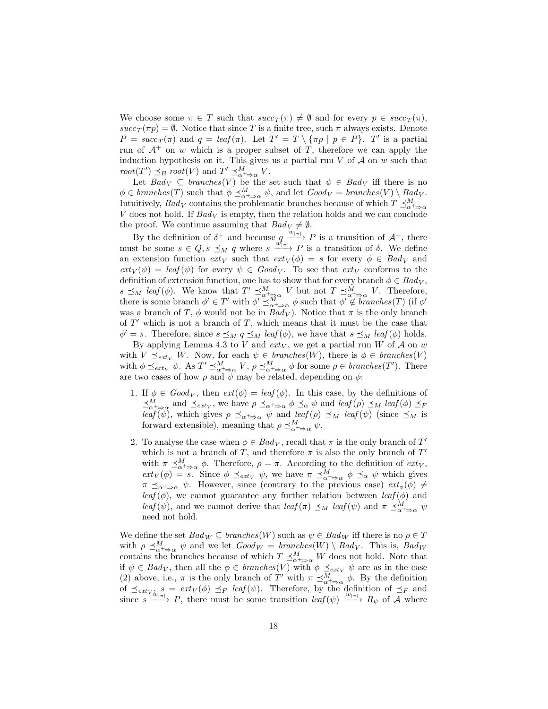We choose some  $\pi \in T$  such that  $succ_T(\pi) \neq \emptyset$  and for every  $p \in succ_T(\pi)$ ,  $succ_T(\pi p) = \emptyset$ . Notice that since T is a finite tree, such  $\pi$  always exists. Denote  $P = succ_T(\pi)$  and  $q = leaf(\pi)$ . Let  $T' = T \setminus {\pi p | p \in P}$ .  $T'$  is a partial run of  $A^+$  on w which is a proper subset of T, therefore we can apply the induction hypothesis on it. This gives us a partial run  $V$  of  $\mathcal A$  on  $w$  such that  $root(T') \preceq_B root(V)$  and  $T' \preceq^M_{\alpha^+ \Rightarrow \alpha} V$ .

Let  $Bad_V \subseteq branches(V)$  be the set such that  $\psi \in Bad_V$  iff there is no  $\phi \in branches(T)$  such that  $\phi \preceq^M_{\alpha+\Rightarrow \alpha} \psi$ , and let  $Good_V = branches(V) \setminus Bad_V$ . Intuitively,  $Bad_V$  contains the problematic branches because of which  $T \preceq^M_{\alpha^+ \Rightarrow \alpha}$ V does not hold. If  $Bad<sub>V</sub>$  is empty, then the relation holds and we can conclude the proof. We continue assuming that  $Bad_V \neq \emptyset$ .

By the definition of  $\delta^+$  and because  $q \xrightarrow{w_{|\pi|}} P$  is a transition of  $\mathcal{A}^+$ , there must be some  $s \in Q$ ,  $s \preceq_M q$  where  $s \xrightarrow{w|_{\pi}|} P$  is a transition of  $\delta$ . We define an extension function  $ext_V$  such that  $ext_V(\phi) = s$  for every  $\phi \in Bad_V$  and  $ext_V(\psi) = leaf(\psi)$  for every  $\psi \in Good_V$ . To see that  $ext_V$  conforms to the definition of extension function, one has to show that for every branch  $\phi \in Bad_V$ ,  $s \preceq_M \text{leaf}(\phi)$ . We know that  $T' \preceq^M_{\alpha^+\Rightarrow\alpha} V$  but not  $T \preceq^M_{\alpha^+\Rightarrow\alpha} V$ . Therefore, there is some branch  $\phi' \in T'$  with  $\phi' \preceq^M_{\alpha+\Rightarrow \alpha} \phi$  such that  $\phi' \notin branches(T)$  (if  $\phi'$ was a branch of T,  $\phi$  would not be in  $Bad_V$ ). Notice that  $\pi$  is the only branch of  $T'$  which is not a branch of  $T$ , which means that it must be the case that  $\phi' = \pi$ . Therefore, since  $s \preceq_M q \preceq_M \text{leaf}(\phi)$ , we have that  $s \preceq_M \text{leaf}(\phi)$  holds.

By applying Lemma 4.3 to V and  $ext_V$ , we get a partial run W of A on w with  $V \preceq_{ext_V} W$ . Now, for each  $\psi \in branches(W)$ , there is  $\phi \in branches(V)$ with  $\phi \preceq_{ext_V} \psi$ . As  $T' \preceq^M_{\alpha^+ \Rightarrow \alpha} V$ ,  $\rho \preceq^M_{\alpha^+ \Rightarrow \alpha} \phi$  for some  $\rho \in branches(T')$ . There are two cases of how  $\rho$  and  $\psi$  may be related, depending on  $\phi$ :

- 1. If  $\phi \in Good_V$ , then  $ext(\phi) = leaf(\phi)$ . In this case, by the definitions of  $\preceq_{\alpha+\Rightarrow\alpha}^{M}$  and  $\preceq_{ext_V}$ , we have  $\rho \preceq_{\alpha+\Rightarrow\alpha} \phi \preceq_{\alpha} \psi$  and  $leaf(\rho) \preceq_M leaf(\phi) \preceq_F$ leaf  $(\psi)$ , which gives  $\rho \preceq_{\alpha^+ \Rightarrow \alpha} \psi$  and leaf  $(\rho) \preceq_M \text{leaf}(\psi)$  (since  $\preceq_M$  is forward extensible), meaning that  $\rho \preceq^M_{\alpha^+ \Rightarrow \alpha} \psi$ .
- 2. To analyse the case when  $\phi \in Bad_V$ , recall that  $\pi$  is the only branch of  $T'$ which is not a branch of T, and therefore  $\pi$  is also the only branch of  $T'$ with  $\pi \preceq^M_{\alpha^+ \Rightarrow \alpha} \phi$ . Therefore,  $\rho = \pi$ . According to the definition of  $ext_V$ ,  $ext_V(\phi) = s$ . Since  $\phi \preceq_{ext_V} \psi$ , we have  $\pi \preceq_{\alpha}^M \phi \preceq_{\alpha} \psi$  which gives  $\pi \preceq_{\alpha^+ \Rightarrow \alpha} \psi$ . However, since (contrary to the previous case)  $ext_v(\phi) \neq$ leaf( $\phi$ ), we cannot guarantee any further relation between leaf( $\phi$ ) and leaf( $\psi$ ), and we cannot derive that  $\text{leaf}(\pi) \preceq_M \text{leaf}(\psi)$  and  $\pi \preceq^M_{\alpha^+ \Rightarrow \alpha} \psi$ need not hold.

We define the set  $Bad_W \subseteq branches(W)$  such as  $\psi \in Bad_W$  iff there is no  $\rho \in T$ with  $\rho \preceq_{\alpha^+ \Rightarrow \alpha}^M \psi$  and we let  $Good_W = branches(W) \setminus Bad_V$ . This is,  $Bad_W$ contains the branches because of which  $T \preceq^M_{\alpha+\Rightarrow \alpha} W$  does not hold. Note that if  $\psi \in Bad_V$ , then all the  $\phi \in branches(V)$  with  $\phi \preceq_{ext_V} \psi$  are as in the case (2) above, i.e.,  $\pi$  is the only branch of T' with  $\pi \preceq^M_{\alpha^+ \Rightarrow \alpha} \phi$ . By the definition of  $\preceq_{ext_{V_{\lambda}} s} = ext_V(\phi) \preceq_F \text{leaf}(\psi)$ . Therefore, by the definition of  $\preceq_F$  and since  $s \xrightarrow{w_{\lfloor \pi \rfloor}} P$ , there must be some transition leaf  $(\psi) \xrightarrow{w_{\lfloor \pi \rfloor}} R_{\psi}$  of A where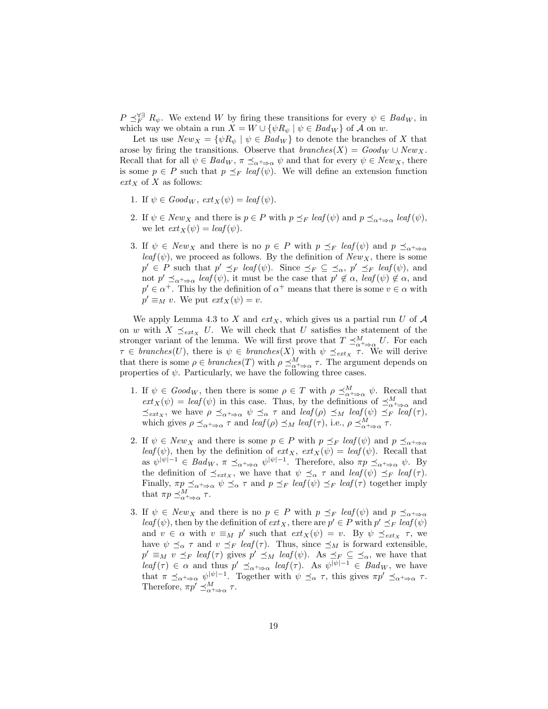$P \preceq_F^{\forall \exists} R_{\psi}$ . We extend W by firing these transitions for every  $\psi \in \text{Bad}_W$ , in which way we obtain a run  $X = W \cup {\psi R_{\psi} | \psi \in Bad_W}$  of A on w.

Let us use  $New_X = \{ \psi R_{\psi} \mid \psi \in Bad_W \}$  to denote the branches of X that arose by firing the transitions. Observe that  $branches(X) = Good_W \cup New_X$ . Recall that for all  $\psi \in Bad_W$ ,  $\pi \preceq_{\alpha^+ \Rightarrow \alpha} \psi$  and that for every  $\psi \in New_X$ , there is some  $p \in P$  such that  $p \preceq_F \text{leaf}(\psi)$ . We will define an extension function  $ext_X$  of X as follows:

- 1. If  $\psi \in Good_W$ ,  $ext_X(\psi) = leaf(\psi)$ .
- 2. If  $\psi \in New_X$  and there is  $p \in P$  with  $p \preceq_F \text{leaf}(\psi)$  and  $p \preceq_{\alpha^+ \Rightarrow \alpha} \text{leaf}(\psi)$ , we let  $ext_X(\psi) = leaf(\psi)$ .
- 3. If  $\psi \in New_X$  and there is no  $p \in P$  with  $p \preceq_F \text{leaf}(\psi)$  and  $p \preceq_{\alpha^+ \Rightarrow \alpha}$  $leaf(\psi)$ , we proceed as follows. By the definition of  $New_X$ , there is some  $p' \in P$  such that  $p' \preceq_F \text{leaf}(\psi)$ . Since  $\preceq_F \subseteq \preceq_\alpha$ ,  $p' \preceq_F \text{leaf}(\psi)$ , and not  $p' \preceq_{\alpha^+ \Rightarrow \alpha} \text{leaf}(\psi)$ , it must be the case that  $p' \not\in \alpha$ ,  $\text{leaf}(\psi) \not\in \alpha$ , and  $p' \in \alpha^+$ . This by the definition of  $\alpha^+$  means that there is some  $v \in \alpha$  with  $p' \equiv_M v$ . We put  $ext_X(\psi) = v$ .

We apply Lemma 4.3 to X and  $ext_X$ , which gives us a partial run U of A on w with  $X \preceq_{ext_X} U$ . We will check that U satisfies the statement of the stronger variant of the lemma. We will first prove that  $T \preceq^M_{\alpha^+ \Rightarrow \alpha} U$ . For each  $\tau \in branches(U)$ , there is  $\psi \in branches(X)$  with  $\psi \preceq_{ext_X} \tau$ . We will derive that there is some  $\rho \in branches(T)$  with  $\rho \preceq^M_{\alpha+\Rightarrow \alpha} \tau$ . The argument depends on properties of  $\psi$ . Particularly, we have the following three cases.

- 1. If  $\psi \in Good_W$ , then there is some  $\rho \in T$  with  $\rho \preceq^M_{\alpha^+ \Rightarrow \alpha} \psi$ . Recall that  $ext_X(\psi) = leaf(\psi)$  in this case. Thus, by the definitions of  $\preceq^M_{\alpha^+ \Rightarrow \alpha}$  and  $\preceq_{ext_X}$ , we have  $\rho \preceq_{\alpha^+ \Rightarrow \alpha} \psi \preceq_{\alpha} \tau$  and  $leaf(\rho) \preceq_M leaf(\psi) \preceq_F \overline{leaf}(\tau)$ , which gives  $\rho \preceq_{\alpha^+ \Rightarrow \alpha} \tau$  and  $\text{leaf}(\rho) \preceq_M \text{leaf}(\tau)$ , i.e.,  $\rho \preceq^M_{\alpha^+ \Rightarrow \alpha} \tau$ .
- 2. If  $\psi \in New_X$  and there is some  $p \in P$  with  $p \preceq_F \text{leaf}(\psi)$  and  $p \preceq_{\alpha^+ \Rightarrow \alpha}$ leaf( $\psi$ ), then by the definition of  $ext_X$ ,  $ext_X(\psi) = leaf(\psi)$ . Recall that as  $\psi^{|\psi|-1} \in Bad_W, \pi \preceq_{\alpha^+ \Rightarrow \alpha} \psi^{|\psi|-1}$ . Therefore, also  $\pi p \preceq_{\alpha^+ \Rightarrow \alpha} \psi$ . By the definition of  $\preceq_{ext_X}$ , we have that  $\psi \preceq_{\alpha} \tau$  and  $leaf(\psi) \preceq_{F} leaf(\tau)$ . Finally,  $\pi p \preceq_{\alpha^+ \Rightarrow \alpha} \psi \preceq_{\alpha} \tau$  and  $p \preceq_F \text{leaf}(\psi) \preceq_F \text{leaf}(\tau)$  together imply that  $\pi p \preceq^M_{\alpha^+ \Rightarrow \alpha} \tau$ .
- 3. If  $\psi \in New_X$  and there is no  $p \in P$  with  $p \preceq_F \text{leaf}(\psi)$  and  $p \preceq_{\alpha^+ \Rightarrow \alpha}$  $\text{leaf}(\psi)$ , then by the definition of  $\text{ext}_X$ , there are  $p' \in P$  with  $p' \preceq_F \text{leaf}(\psi)$ and  $v \in \alpha$  with  $v \equiv_M p'$  such that  $ext_X(\psi) = v$ . By  $\psi \preceq_{ext_X} \tau$ , we have  $\psi \preceq_{\alpha} \tau$  and  $v \preceq_{F} \text{leaf}(\tau)$ . Thus, since  $\preceq_{M}$  is forward extensible,  $p' \equiv_M v \preceq_F \text{leaf}(\tau)$  gives  $p' \preceq_M \text{leaf}(\psi)$ . As  $\preceq_F \subseteq \preceq_\alpha$ , we have that  $\text{leaf}(\tau) \in \alpha$  and thus  $p' \preceq_{\alpha^+ \Rightarrow \alpha} \text{leaf}(\tau)$ . As  $\psi^{|\psi|-1} \in \text{Bad}_W$ , we have that  $\pi \preceq_{\alpha^+ \Rightarrow \alpha} \psi^{|\psi|-1}$ . Together with  $\psi \preceq_{\alpha} \tau$ , this gives  $\pi p' \preceq_{\alpha^+ \Rightarrow \alpha} \tau$ . Therefore,  $\pi p' \preceq_{\alpha^+ \Rightarrow \alpha}^M \tau$ .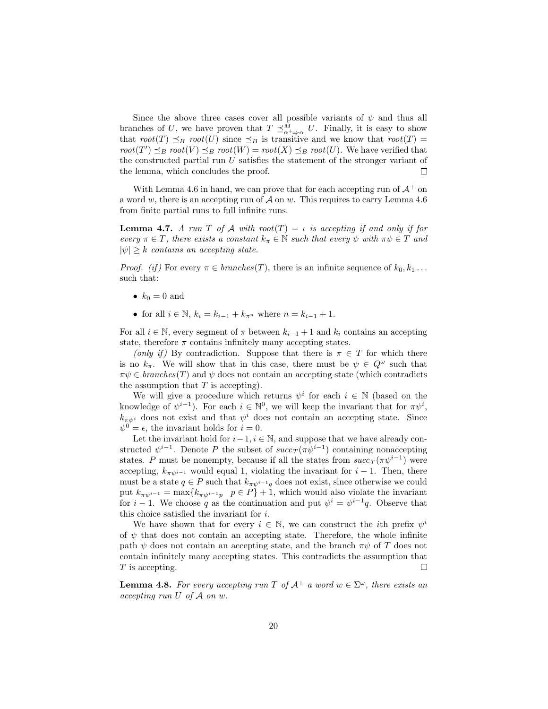Since the above three cases cover all possible variants of  $\psi$  and thus all branches of U, we have proven that  $T \preceq^M_{\alpha^+ \Rightarrow \alpha} U$ . Finally, it is easy to show that  $root(T) \preceq_B root(U)$  since  $\preceq_B$  is transitive and we know that  $root(T)$  = root(T')  $\preceq_B root(V) \preceq_B root(W) = root(X) \preceq_B root(U)$ . We have verified that the constructed partial run  $U$  satisfies the statement of the stronger variant of the lemma, which concludes the proof.  $\Box$ 

With Lemma 4.6 in hand, we can prove that for each accepting run of  $\mathcal{A}^+$  on a word w, there is an accepting run of  $\mathcal A$  on w. This requires to carry Lemma 4.6 from finite partial runs to full infinite runs.

**Lemma 4.7.** A run T of A with root(T)  $=$  is accepting if and only if for every  $\pi \in T$ , there exists a constant  $k_{\pi} \in \mathbb{N}$  such that every  $\psi$  with  $\pi \psi \in T$  and  $|\psi| \geq k$  contains an accepting state.

*Proof.* (if) For every  $\pi \in branches(T)$ , there is an infinite sequence of  $k_0, k_1 \ldots$ such that:

- $k_0 = 0$  and
- for all  $i \in \mathbb{N}$ ,  $k_i = k_{i-1} + k_{\pi^n}$  where  $n = k_{i-1} + 1$ .

For all  $i \in \mathbb{N}$ , every segment of  $\pi$  between  $k_{i-1}+1$  and  $k_i$  contains an accepting state, therefore  $\pi$  contains infinitely many accepting states.

(only if) By contradiction. Suppose that there is  $\pi \in T$  for which there is no  $k_{\pi}$ . We will show that in this case, there must be  $\psi \in Q^{\omega}$  such that  $\pi \psi \in branches(T)$  and  $\psi$  does not contain an accepting state (which contradicts the assumption that  $T$  is accepting).

We will give a procedure which returns  $\psi^i$  for each  $i \in \mathbb{N}$  (based on the knowledge of  $\psi^{i-1}$ ). For each  $i \in \mathbb{N}^0$ , we will keep the invariant that for  $\pi \psi^i$ ,  $k_{\pi\psi^i}$  does not exist and that  $\psi^i$  does not contain an accepting state. Since  $\psi^0 = \epsilon$ , the invariant holds for  $i = 0$ .

Let the invariant hold for  $i-1$ ,  $i \in \mathbb{N}$ , and suppose that we have already constructed  $\psi^{i-1}$ . Denote P the subset of  $succ_T(\pi\psi^{i-1})$  containing nonaccepting states. P must be nonempty, because if all the states from  $succ_T(\pi\psi^{i-1})$  were accepting,  $k_{\pi\psi^{i-1}}$  would equal 1, violating the invariant for  $i-1$ . Then, there must be a state  $q \in P$  such that  $k_{\pi\psi^{i-1}q}$  does not exist, since otherwise we could put  $k_{\pi\psi^{i-1}} = \max\{k_{\pi\psi^{i-1}p} \mid p \in P\}$  + 1, which would also violate the invariant for  $i-1$ . We choose q as the continuation and put  $\psi^i = \psi^{i-1}q$ . Observe that this choice satisfied the invariant for i.

We have shown that for every  $i \in \mathbb{N}$ , we can construct the *i*th prefix  $\psi^i$ of  $\psi$  that does not contain an accepting state. Therefore, the whole infinite path  $\psi$  does not contain an accepting state, and the branch  $\pi\psi$  of T does not contain infinitely many accepting states. This contradicts the assumption that T is accepting.  $\Box$ 

**Lemma 4.8.** For every accepting run T of  $A^+$  a word  $w \in \Sigma^{\omega}$ , there exists an accepting run  $U$  of  $\mathcal A$  on  $w$ .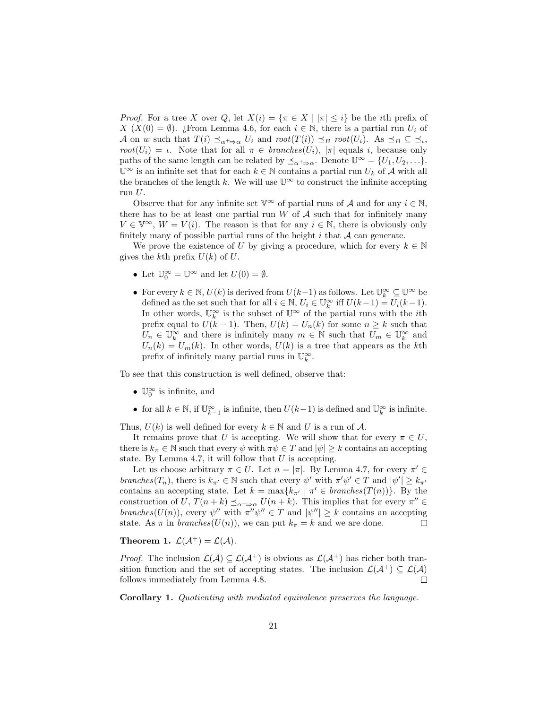*Proof.* For a tree X over Q, let  $X(i) = {\pi \in X \mid |\pi| \leq i}$  be the *i*th prefix of  $X(X(0) = \emptyset)$ . ¿From Lemma 4.6, for each  $i \in \mathbb{N}$ , there is a partial run  $U_i$  of A on w such that  $T(i) \preceq_{\alpha^+ \Rightarrow \alpha} U_i$  and  $root(T(i)) \preceq_B root(U_i)$ . As  $\preceq_B \subseteq \preceq_i$ , root( $U_i$ ) = *ι*. Note that for all  $\pi \in branches(U_i)$ ,  $|\pi|$  equals *i*, because only paths of the same length can be related by  $\preceq_{\alpha^+\Rightarrow \alpha}$ . Denote  $\mathbb{U}^{\infty} = \{U_1, U_2, \ldots\}$ .  $\mathbb{U}^{\infty}$  is an infinite set that for each  $k \in \mathbb{N}$  contains a partial run  $U_k$  of A with all the branches of the length k. We will use  $\mathbb{U}^{\infty}$  to construct the infinite accepting run  $U$ .

Observe that for any infinite set  $\mathbb{V}^{\infty}$  of partial runs of A and for any  $i \in \mathbb{N}$ , there has to be at least one partial run  $W$  of  $A$  such that for infinitely many  $V \in \mathbb{V}^{\infty}$ ,  $W = V(i)$ . The reason is that for any  $i \in \mathbb{N}$ , there is obviously only finitely many of possible partial runs of the height  $i$  that  $A$  can generate.

We prove the existence of U by giving a procedure, which for every  $k \in \mathbb{N}$ gives the kth prefix  $U(k)$  of U.

- Let  $\mathbb{U}_0^{\infty} = \mathbb{U}^{\infty}$  and let  $U(0) = \emptyset$ .
- For every  $k \in \mathbb{N}$ ,  $U(k)$  is derived from  $U(k-1)$  as follows. Let  $\mathbb{U}_k^{\infty} \subseteq \mathbb{U}^{\infty}$  be defined as the set such that for all  $i \in \mathbb{N}$ ,  $U_i \in \mathbb{U}_k^{\infty}$  iff  $U(k-1) = U_i(k-1)$ . In other words,  $\mathbb{U}_k^{\infty}$  is the subset of  $\mathbb{U}^{\infty}$  of the partial runs with the *i*th prefix equal to  $U(k-1)$ . Then,  $U(k) = U_n(k)$  for some  $n \geq k$  such that  $U_n \in \mathbb{U}_k^{\infty}$  and there is infinitely many  $m \in \mathbb{N}$  such that  $U_m \in \mathbb{U}_k^{\infty}$  and  $U_n(k) = U_m(k)$ . In other words,  $U(k)$  is a tree that appears as the kth prefix of infinitely many partial runs in  $\mathbb{U}_k^{\infty}$ .

To see that this construction is well defined, observe that:

- $\mathbb{U}_0^{\infty}$  is infinite, and
- for all  $k \in \mathbb{N}$ , if  $\mathbb{U}_{k-1}^{\infty}$  is infinite, then  $U(k-1)$  is defined and  $\mathbb{U}_{k}^{\infty}$  is infinite.

Thus,  $U(k)$  is well defined for every  $k \in \mathbb{N}$  and U is a run of A.

It remains prove that U is accepting. We will show that for every  $\pi \in U$ , there is  $k_{\pi} \in \mathbb{N}$  such that every  $\psi$  with  $\pi \psi \in T$  and  $|\psi| \geq k$  contains an accepting state. By Lemma 4.7, it will follow that  $U$  is accepting.

Let us choose arbitrary  $\pi \in U$ . Let  $n = |\pi|$ . By Lemma 4.7, for every  $\pi' \in$ branches(T<sub>n</sub>), there is  $k_{\pi'} \in \mathbb{N}$  such that every  $\psi'$  with  $\pi' \psi' \in T$  and  $|\psi'| \geq k_{\pi'}$ contains an accepting state. Let  $k = \max\{k_{\pi'} | \pi' \in branches(T(n))\}$ . By the construction of U,  $T(n+k) \preceq_{\alpha^+ \Rightarrow \alpha} U(n+k)$ . This implies that for every  $\pi'' \in$ branches  $(U(n))$ , every  $\psi''$  with  $\pi''\psi'' \in T$  and  $|\psi''| \geq k$  contains an accepting state. As  $\pi$  in *branches*( $U(n)$ ), we can put  $k_{\pi} = k$  and we are done.  $\Box$ 

Theorem 1.  $\mathcal{L}(\mathcal{A}^+) = \mathcal{L}(\mathcal{A})$ .

*Proof.* The inclusion  $\mathcal{L}(\mathcal{A}) \subseteq \mathcal{L}(\mathcal{A}^+)$  is obvious as  $\mathcal{L}(\mathcal{A}^+)$  has richer both transition function and the set of accepting states. The inclusion  $\mathcal{L}(\mathcal{A}^+) \subseteq \mathcal{L}(\mathcal{A})$ follows immediately from Lemma 4.8.  $\Box$ 

Corollary 1. Quotienting with mediated equivalence preserves the language.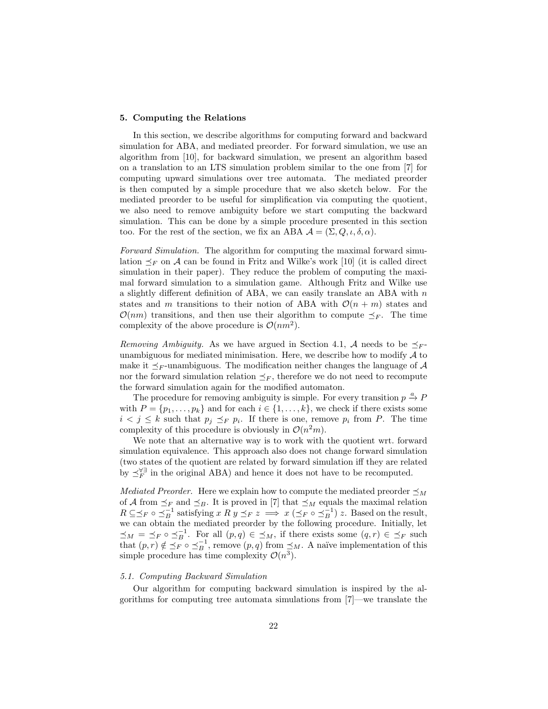#### 5. Computing the Relations

In this section, we describe algorithms for computing forward and backward simulation for ABA, and mediated preorder. For forward simulation, we use an algorithm from [10], for backward simulation, we present an algorithm based on a translation to an LTS simulation problem similar to the one from [7] for computing upward simulations over tree automata. The mediated preorder is then computed by a simple procedure that we also sketch below. For the mediated preorder to be useful for simplification via computing the quotient, we also need to remove ambiguity before we start computing the backward simulation. This can be done by a simple procedure presented in this section too. For the rest of the section, we fix an ABA  $\mathcal{A} = (\Sigma, Q, \iota, \delta, \alpha)$ .

Forward Simulation. The algorithm for computing the maximal forward simulation  $\preceq_F$  on A can be found in Fritz and Wilke's work [10] (it is called direct simulation in their paper). They reduce the problem of computing the maximal forward simulation to a simulation game. Although Fritz and Wilke use a slightly different definition of ABA, we can easily translate an ABA with  $n$ states and m transitions to their notion of ABA with  $\mathcal{O}(n + m)$  states and  $\mathcal{O}(nm)$  transitions, and then use their algorithm to compute  $\preceq_F$ . The time complexity of the above procedure is  $\mathcal{O}(nm^2)$ .

Removing Ambiguity. As we have argued in Section 4.1, A needs to be  $\preceq_F$ unambiguous for mediated minimisation. Here, we describe how to modify  $A$  to make it  $\prec_F$ -unambiguous. The modification neither changes the language of A nor the forward simulation relation  $\preceq_F$ , therefore we do not need to recompute the forward simulation again for the modified automaton.

The procedure for removing ambiguity is simple. For every transition  $p \stackrel{a}{\rightarrow} P$ with  $P = \{p_1, \ldots, p_k\}$  and for each  $i \in \{1, \ldots, k\}$ , we check if there exists some  $i < j \leq k$  such that  $p_j \preceq_F p_i$ . If there is one, remove  $p_i$  from P. The time complexity of this procedure is obviously in  $\mathcal{O}(n^2m)$ .

We note that an alternative way is to work with the quotient wrt. forward simulation equivalence. This approach also does not change forward simulation (two states of the quotient are related by forward simulation iff they are related by  $\preceq_F^{\forall \exists}$  in the original ABA) and hence it does not have to be recomputed.

*Mediated Preorder.* Here we explain how to compute the mediated preorder  $\preceq_M$ of A from  $\preceq_F$  and  $\preceq_B$ . It is proved in [7] that  $\preceq_M$  equals the maximal relation  $R \subseteq \preceq_F \circ \preceq_B^{-1}$  satisfying  $x R y \preceq_F z \implies x (\preceq_F \circ \preceq_B^{-1}) z$ . Based on the result, we can obtain the mediated preorder by the following procedure. Initially, let  $\preceq_M = \preceq_F \circ \preceq_B^{-1}$ . For all  $(p,q) \in \preceq_M$ , if there exists some  $(q,r) \in \preceq_F$  such that  $(p, r) \notin \preceq_F^{\infty} \circ \preceq_B^{-1}$ , remove  $(p, q)$  from  $\preceq_M$ . A naïve implementation of this simple procedure has time complexity  $\mathcal{O}(n^3)$ .

#### 5.1. Computing Backward Simulation

Our algorithm for computing backward simulation is inspired by the algorithms for computing tree automata simulations from [7]—we translate the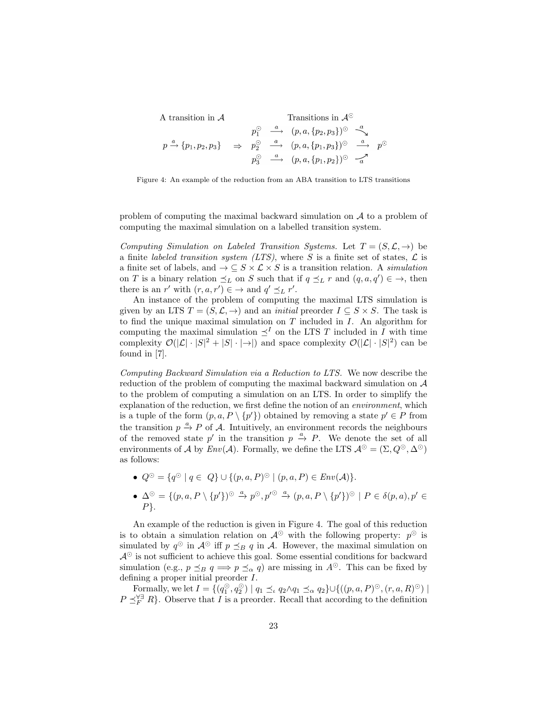A transition in  $\mathcal A$ 

A transition in 
$$
\mathcal{A}
$$
  
\n $p_1^{\odot} \xrightarrow{a} (p, a, \{p_2, p_3\})^{\odot} \xrightarrow{a}$   
\n $p \xrightarrow{a} \{p_1, p_2, p_3\} \Rightarrow p_2^{\odot} \xrightarrow{a} (p, a, \{p_1, p_3\})^{\odot} \xrightarrow{a} p^{\odot}$   
\n $p_3^{\odot} \xrightarrow{a} (p, a, \{p_1, p_2\})^{\odot} \xrightarrow{a}$ 

Figure 4: An example of the reduction from an ABA transition to LTS transitions

problem of computing the maximal backward simulation on  $A$  to a problem of computing the maximal simulation on a labelled transition system.

Computing Simulation on Labeled Transition Systems. Let  $T = (S, \mathcal{L}, \rightarrow)$  be a finite *labeled transition system (LTS)*, where S is a finite set of states,  $\mathcal{L}$  is a finite set of labels, and  $\rightarrow \subseteq S \times \mathcal{L} \times S$  is a transition relation. A *simulation* on T is a binary relation  $\preceq_L$  on S such that if  $q \preceq_L r$  and  $(q, a, q') \in \rightarrow$ , then there is an r' with  $(r, a, r') \in \rightarrow$  and  $q' \preceq_L r'$ .

An instance of the problem of computing the maximal LTS simulation is given by an LTS  $T = (S, \mathcal{L}, \rightarrow)$  and an *initial* preorder  $I \subseteq S \times S$ . The task is to find the unique maximal simulation on  $T$  included in  $I$ . An algorithm for computing the maximal simulation  $\preceq^I$  on the LTS T included in I with time complexity  $\mathcal{O}(|\mathcal{L}| \cdot |S|^2 + |S| \cdot |\rightarrow|)$  and space complexity  $\mathcal{O}(|\mathcal{L}| \cdot |S|^2)$  can be found in [7].

Computing Backward Simulation via a Reduction to LTS. We now describe the reduction of the problem of computing the maximal backward simulation on A to the problem of computing a simulation on an LTS. In order to simplify the explanation of the reduction, we first define the notion of an environment, which is a tuple of the form  $(p, a, P \setminus \{p'\})$  obtained by removing a state  $p' \in P$  from the transition  $p \stackrel{a}{\rightarrow} P$  of A. Intuitively, an environment records the neighbours of the removed state p' in the transition  $p \stackrel{a}{\rightarrow} P$ . We denote the set of all environments of A by  $Env(A)$ . Formally, we define the LTS  $A^{\odot} = (\Sigma, Q^{\odot}, \Delta^{\odot})$ as follows:

- $Q^{\odot} = \{q^{\odot} \mid q \in Q\} \cup \{(p, a, P)^{\odot} \mid (p, a, P) \in Env(\mathcal{A})\}.$
- $\blacklozenge$   $\Delta^{\odot} = \{ (p, a, P \setminus \{p'\})^{\odot} \stackrel{a}{\rightarrow} p^{\odot}, p'^{\odot} \stackrel{a}{\rightarrow} (p, a, P \setminus \{p'\})^{\odot} \mid P \in \delta(p, a), p' \in$  $P$ .

An example of the reduction is given in Figure 4. The goal of this reduction is to obtain a simulation relation on  $\mathcal{A}^{\odot}$  with the following property:  $p^{\odot}$  is simulated by  $q^{\odot}$  in  $\mathcal{A}^{\odot}$  iff  $p \preceq_B q$  in A. However, the maximal simulation on  $\mathcal{A}^{\odot}$  is not sufficient to achieve this goal. Some essential conditions for backward simulation (e.g.,  $p \leq_B q \implies p \leq_\alpha q$ ) are missing in  $A^\odot$ . This can be fixed by defining a proper initial preorder I.

Formally, we let  $I = \{ (q_1^{\odot}, q_2^{\odot}) \mid q_1 \preceq \alpha \ q_2 \wedge q_1 \preceq \alpha \ q_2 \} \cup \{ ((p, a, P)^{\odot}, (r, a, R)^{\odot}) \mid$  $P \preceq_F^{\forall \exists} R$ . Observe that I is a preorder. Recall that according to the definition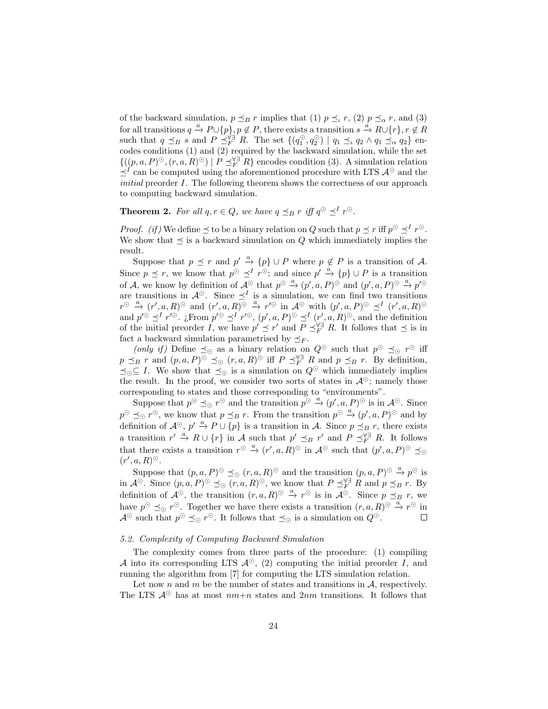of the backward simulation,  $p \preceq_B r$  implies that (1)  $p \preceq_r r$ , (2)  $p \preceq_\alpha r$ , and (3) for all transitions  $q \stackrel{a}{\to} P \cup \{p\}$ ,  $p \notin P$ , there exists a transition  $s \stackrel{a}{\to} R \cup \{r\}$ ,  $r \notin R$ such that  $q \preceq_B s$  and  $P \preceq_F^{\forall \exists} R$ . The set  $\{(q_1^{\odot}, q_2^{\odot}) \mid q_1 \preceq_a q_2 \land q_1 \preceq_\alpha q_2\}$  encodes conditions  $(1)$  and  $(2)$  required by the backward simulation, while the set  $\{((p, a, P)^\odot, (r, a, R)^\odot) \mid P \preceq_F^{\forall \exists} R\}$  encodes condition (3). A simulation relation  $\preceq^I$  can be computed using the aforementioned procedure with LTS  $\mathcal{A}^{\odot}$  and the initial preorder I. The following theorem shows the correctness of our approach to computing backward simulation.

**Theorem 2.** For all  $q, r \in Q$ , we have  $q \preceq_B r$  iff  $q^{\odot} \preceq^I r^{\odot}$ .

*Proof.* (if) We define  $\preceq$  to be a binary relation on Q such that  $p \preceq r$  iff  $p^{\odot} \preceq^l r^{\odot}$ . We show that  $\preceq$  is a backward simulation on Q which immediately implies the result.

Suppose that  $p \preceq r$  and  $p' \stackrel{a}{\rightarrow} \{p\} \cup P$  where  $p \notin P$  is a transition of A. Since  $p \preceq r$ , we know that  $p^{\odot} \preceq^{I} r^{\odot}$ ; and since  $p' \stackrel{a}{\rightarrow} \{p\} \cup P$  is a transition of A, we know by definition of  $\mathcal{A}^{\odot}$  that  $p^{\odot} \stackrel{a}{\rightarrow} (p', a, P)^{\odot}$  and  $(p', a, P)^{\odot} \stackrel{a}{\rightarrow} p'^{\odot}$ are transitions in  $\mathcal{A}^{\odot}$ . Since  $\preceq^{I}$  is a simulation, we can find two transitions  $r^{\odot} \stackrel{a}{\rightarrow} (r', a, R)^{\odot}$  and  $(r', a, R)^{\odot} \stackrel{a}{\rightarrow} r'^{\odot}$  in  $\mathcal{A}^{\odot}$  with  $(p', a, P)^{\odot} \preceq^{I} (r', a, R)^{\odot}$ and  $p' \text{ and } p' \text{ and } p' \text{ and } p' \text{ and } p' \text{ and } p' \text{ and } p' \text{ and } p' \text{ and } p' \text{ and } p' \text{ and } p' \text{ and } p' \text{ and } p' \text{ and } p' \text{ and } p' \text{ and } p' \text{ and } p' \text{ and } p' \text{ and } p' \text{ and } p' \text{ and } p' \text{ and } p' \text{ and } p' \text{ and } p' \text{ and } p' \text{ and } p' \text{ and } p' \text{ and } p' \text{ and } p' \text{ and } p' \text{ and } p' \text{ and$ of the initial preorder I, we have  $p' \preceq r'$  and  $P \preceq_F^{\forall \exists} R$ . It follows that  $\preceq$  is in fact a backward simulation parametrised by  $\preceq_F$ .

(only if) Define  $\preceq_{\odot}$  as a binary relation on  $Q^{\odot}$  such that  $p^{\odot} \preceq_{\odot} r^{\odot}$  iff  $p \preceq_B r$  and  $(p, a, P)^\odot \preceq_\odot (r, a, R)^\odot$  iff  $P \preceq_F^{\forall \exists} R$  and  $p \preceq_B r$ . By definition,  $\preceq_{\bigcirc} \subseteq I$ . We show that  $\preceq_{\bigcirc}$  is a simulation on  $Q^{\odot}$  which immediately implies the result. In the proof, we consider two sorts of states in  $\mathcal{A}^{\odot}$ ; namely those corresponding to states and those corresponding to "environments".

Suppose that  $p^{\odot} \preceq_{\odot} r^{\odot}$  and the transition  $p^{\odot} \stackrel{a}{\rightarrow} (p', a, P)^{\odot}$  is in  $\mathcal{A}^{\odot}$ . Since  $p^{\odot} \preceq_{\odot} r^{\odot}$ , we know that  $p \preceq_B r$ . From the transition  $p^{\odot} \stackrel{a}{\rightarrow} (p', a, P)^{\odot}$  and by definition of  $\mathcal{A}^{\odot}$ ,  $p' \stackrel{a}{\rightarrow} P \cup \{p\}$  is a transition in A. Since  $p \preceq_B r$ , there exists a transition  $r' \stackrel{a}{\to} R \cup \{r\}$  in A such that  $p' \preceq_B r'$  and  $P \preceq_F^{\forall \exists} R$ . It follows that there exists a transition  $r^{\odot} \stackrel{a}{\rightarrow} (r', a, R)^{\odot}$  in  $\mathcal{A}^{\odot}$  such that  $(p', a, P)^{\odot} \preceq_{\odot}$  $(r', a, R)^\odot$ .

Suppose that  $(p, a, P)^\odot \preceq_{\odot} (r, a, R)^\odot$  and the transition  $(p, a, P)^\odot \stackrel{a}{\rightarrow} p^\odot$  is in  $\mathcal{A}^{\odot}$ . Since  $(p, a, P)^{\odot} \preceq_{\odot} (r, a, R)^{\odot}$ , we know that  $P \preceq_F^{\forall \exists} R$  and  $p \preceq_B r$ . By definition of  $\mathcal{A}^{\odot}$ , the transition  $(r, a, R)^{\odot} \stackrel{a}{\rightarrow} r^{\odot}$  is in  $\mathcal{A}^{\odot}$ . Since  $p \preceq_B r$ , we have  $p^{\odot} \preceq_{\odot} r^{\odot}$ . Together we have there exists a transition  $(r, a, R)^{\odot} \stackrel{a}{\rightarrow} r^{\odot}$  in  $\mathcal{A}^{\odot}$  such that  $p^{\odot} \preceq_{\odot} r^{\odot}$ . It follows that  $\preceq_{\odot}$  is a simulation on  $Q^{\odot}$ .  $\Box$ 

## 5.2. Complexity of Computing Backward Simulation

The complexity comes from three parts of the procedure: (1) compiling A into its corresponding LTS  $\mathcal{A}^{\odot}$ , (2) computing the initial preorder I, and running the algorithm from [7] for computing the LTS simulation relation.

Let now n and m be the number of states and transitions in  $A$ , respectively. The LTS  $\mathcal{A}^{\odot}$  has at most  $nm+n$  states and  $2nm$  transitions. It follows that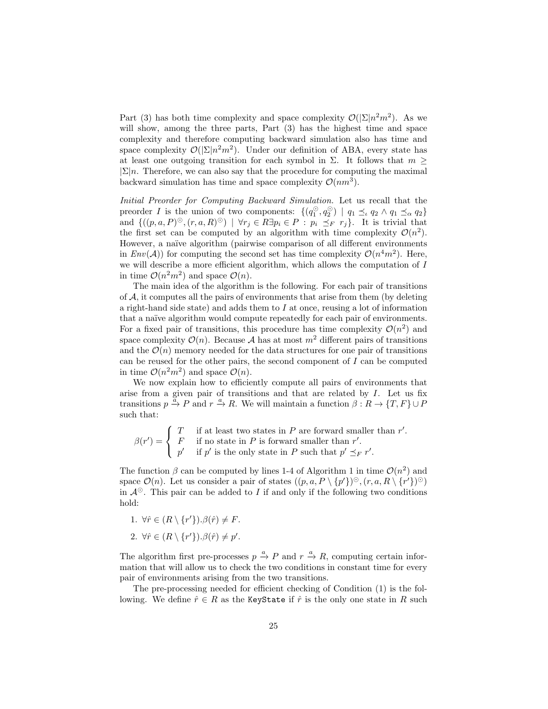Part (3) has both time complexity and space complexity  $\mathcal{O}(|\Sigma|n^2m^2)$ . As we will show, among the three parts, Part  $(3)$  has the highest time and space complexity and therefore computing backward simulation also has time and space complexity  $\mathcal{O}(|\Sigma|n^2m^2)$ . Under our definition of ABA, every state has at least one outgoing transition for each symbol in  $\Sigma$ . It follows that  $m \geq$  $|\Sigma|n$ . Therefore, we can also say that the procedure for computing the maximal backward simulation has time and space complexity  $\mathcal{O}(nm^3)$ .

Initial Preorder for Computing Backward Simulation. Let us recall that the preorder I is the union of two components:  $\{(q_1^{\odot}, q_2^{\odot}) \mid q_1 \preceq_{\iota} q_2 \land q_1 \preceq_{\alpha} q_2\}$ and  $\{((p, a, P)^\odot, (r, a, R)^\odot) \mid \forall r_j \in R \exists p_i \in P : p_i \preceq_F r_j\}.$  It is trivial that the first set can be computed by an algorithm with time complexity  $\mathcal{O}(n^2)$ . However, a naïve algorithm (pairwise comparison of all different environments in  $Env(A)$  for computing the second set has time complexity  $O(n^4m^2)$ . Here, we will describe a more efficient algorithm, which allows the computation of I in time  $\mathcal{O}(n^2m^2)$  and space  $\mathcal{O}(n)$ .

The main idea of the algorithm is the following. For each pair of transitions of  $A$ , it computes all the pairs of environments that arise from them (by deleting a right-hand side state) and adds them to  $I$  at once, reusing a lot of information that a naïve algorithm would compute repeatedly for each pair of environments. For a fixed pair of transitions, this procedure has time complexity  $\mathcal{O}(n^2)$  and space complexity  $\mathcal{O}(n)$ . Because A has at most  $m^2$  different pairs of transitions and the  $\mathcal{O}(n)$  memory needed for the data structures for one pair of transitions can be reused for the other pairs, the second component of  $I$  can be computed in time  $\mathcal{O}(n^2m^2)$  and space  $\mathcal{O}(n)$ .

We now explain how to efficiently compute all pairs of environments that arise from a given pair of transitions and that are related by I. Let us fix transitions  $p \stackrel{\alpha}{\to} P$  and  $r \stackrel{a}{\to} R$ . We will maintain a function  $\beta : R \to \{T, F\} \cup P$ such that:

$$
\beta(r') = \begin{cases}\nT & \text{if at least two states in } P \text{ are forward smaller than } r'. \\
F & \text{if no state in } P \text{ is forward smaller than } r'. \\
p' & \text{if } p' \text{ is the only state in } P \text{ such that } p' \preceq_F r'.\n\end{cases}
$$

The function  $\beta$  can be computed by lines 1-4 of Algorithm 1 in time  $\mathcal{O}(n^2)$  and space  $\mathcal{O}(n)$ . Let us consider a pair of states  $((p, a, P \setminus \{p'\})^{\odot}, (r, a, R \setminus \{r'\})^{\odot})$ in  $\mathcal{A}^{\odot}$ . This pair can be added to I if and only if the following two conditions hold:

- 1.  $\forall \hat{r} \in (R \setminus \{r'\}) . \beta(\hat{r}) \neq F.$
- 2.  $\forall \hat{r} \in (R \setminus \{r'\}) . \beta(\hat{r}) \neq p'.$

The algorithm first pre-processes  $p \stackrel{a}{\rightarrow} P$  and  $r \stackrel{a}{\rightarrow} R$ , computing certain information that will allow us to check the two conditions in constant time for every pair of environments arising from the two transitions.

The pre-processing needed for efficient checking of Condition (1) is the following. We define  $\hat{r} \in R$  as the KeyState if  $\hat{r}$  is the only one state in R such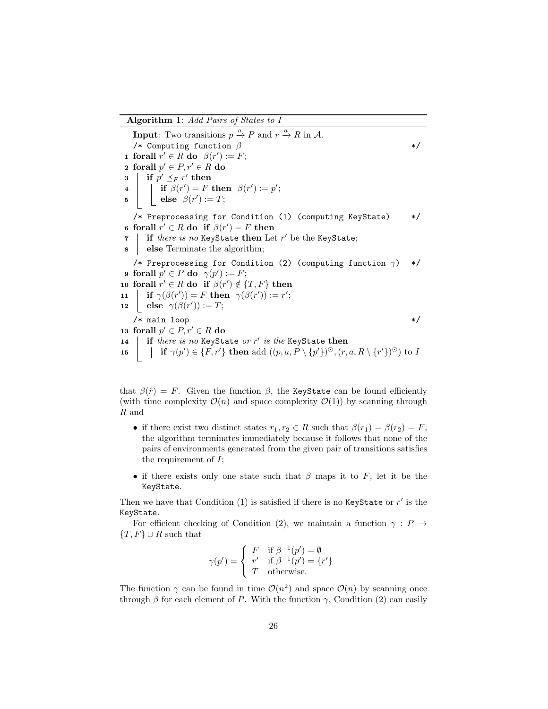#### Algorithm 1: Add Pairs of States to I

**Input:** Two transitions  $p \stackrel{a}{\rightarrow} P$  and  $r \stackrel{a}{\rightarrow} R$  in A. /\* Computing function  $\beta$  \*/ 1 forall  $r' \in R$  do  $\beta(r') := F;$ 2 forall  $p' \in P, r' \in R$  do  $\mathbf{s} \parallel \text{ if } p' \preceq_F r' \text{ then }$  $\begin{array}{ll} \textbf{4} & | & | & \textbf{if } \beta(r') = F \textbf{ then } \beta(r') := p'; \end{array}$  $\begin{array}{c|c} \texttt{5} & \texttt{else} & \beta(r') := T; \end{array}$ /\* Preprocessing for Condition (1) (computing KeyState) \*/ 6 forall  $r' \in R$  do if  $\beta(r') = F$  then  $\tau$  | if *there is no* KeyState then Let  $r'$  be the KeyState; 8 else Terminate the algorithm; /\* Preprocessing for Condition (2) (computing function  $\gamma$ ) \*/ 9 forall  $p' \in P$  do  $\gamma(p') := F;$ 10 forall  $r' \in R$  do if  $\beta(r') \notin \{T, F\}$  then 11 **if**  $\gamma(\beta(r')) = F$  then  $\gamma(\beta(r')) := r'$ ; 12 else  $\gamma(\beta(r')) := T;$  $/*$  main loop  $*/$ 13 forall  $p' \in P, r' \in R$  do 14  $\parallel$  if there is no KeyState or r' is the KeyState then 15  $\left| \begin{array}{c} \text{if } \gamma(p') \in \{F, r'\} \text{ then } \text{add }((p, a, P \setminus \{p'\})^{\odot}, (r, a, R \setminus \{r'\})^{\odot}) \text{ to } I \end{array} \right|$ 

that  $\beta(\hat{r}) = F$ . Given the function  $\beta$ , the KeyState can be found efficiently (with time complexity  $\mathcal{O}(n)$  and space complexity  $\mathcal{O}(1)$ ) by scanning through R and

- if there exist two distinct states  $r_1, r_2 \in R$  such that  $\beta(r_1) = \beta(r_2) = F$ , the algorithm terminates immediately because it follows that none of the pairs of environments generated from the given pair of transitions satisfies the requirement of I;
- if there exists only one state such that  $\beta$  maps it to F, let it be the KeyState.

Then we have that Condition  $(1)$  is satisfied if there is no KeyState or  $r'$  is the KeyState.

For efficient checking of Condition (2), we maintain a function  $\gamma : P \to$  ${T, F} \cup R$  such that

$$
\gamma(p') = \begin{cases} F & \text{if } \beta^{-1}(p') = \emptyset \\ r' & \text{if } \beta^{-1}(p') = \{r'\} \\ T & \text{otherwise.} \end{cases}
$$

The function  $\gamma$  can be found in time  $\mathcal{O}(n^2)$  and space  $\mathcal{O}(n)$  by scanning once through  $\beta$  for each element of P. With the function  $\gamma$ , Condition (2) can easily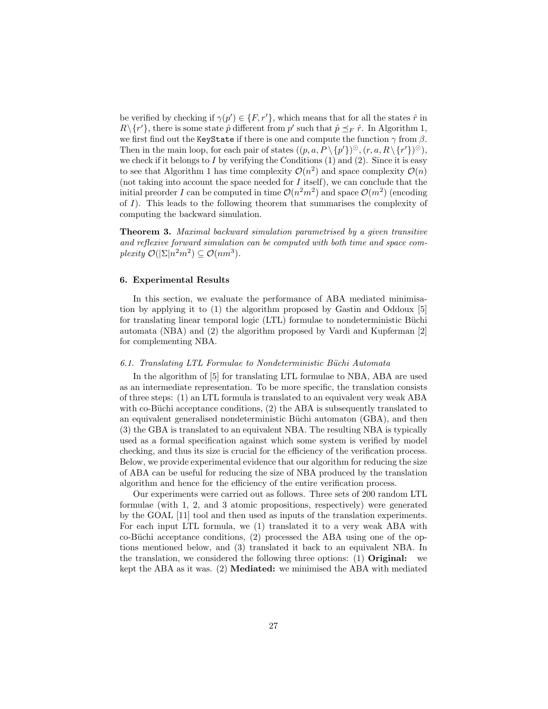be verified by checking if  $\gamma(p') \in \{F, r'\}$ , which means that for all the states  $\hat{r}$  in  $R \setminus \{r'\}$ , there is some state  $\hat{p}$  different from  $p'$  such that  $\hat{p} \preceq_F \hat{r}$ . In Algorithm 1, we first find out the KeyState if there is one and compute the function  $\gamma$  from  $\beta$ . Then in the main loop, for each pair of states  $((p, a, P \setminus \{p'\})^{\odot}, (r, a, R \setminus \{r'\})^{\odot}),$ we check if it belongs to I by verifying the Conditions  $(1)$  and  $(2)$ . Since it is easy to see that Algorithm 1 has time complexity  $\mathcal{O}(n^2)$  and space complexity  $\mathcal{O}(n)$ (not taking into account the space needed for  $I$  itself), we can conclude that the initial preorder I can be computed in time  $\mathcal{O}(n^2m^2)$  and space  $\mathcal{O}(m^2)$  (encoding of I). This leads to the following theorem that summarises the complexity of computing the backward simulation.

Theorem 3. Maximal backward simulation parametrised by a given transitive and reflexive forward simulation can be computed with both time and space complexity  $\mathcal{O}(|\Sigma|n^2m^2) \subseteq \mathcal{O}(nm^3)$ .

#### 6. Experimental Results

In this section, we evaluate the performance of ABA mediated minimisation by applying it to (1) the algorithm proposed by Gastin and Oddoux [5] for translating linear temporal logic (LTL) formulae to nondeterministic Büchi automata (NBA) and (2) the algorithm proposed by Vardi and Kupferman [2] for complementing NBA.

## 6.1. Translating LTL Formulae to Nondeterministic Büchi Automata

In the algorithm of [5] for translating LTL formulae to NBA, ABA are used as an intermediate representation. To be more specific, the translation consists of three steps: (1) an LTL formula is translated to an equivalent very weak ABA with co-Büchi acceptance conditions,  $(2)$  the ABA is subsequently translated to an equivalent generalised nondeterministic Büchi automaton (GBA), and then (3) the GBA is translated to an equivalent NBA. The resulting NBA is typically used as a formal specification against which some system is verified by model checking, and thus its size is crucial for the efficiency of the verification process. Below, we provide experimental evidence that our algorithm for reducing the size of ABA can be useful for reducing the size of NBA produced by the translation algorithm and hence for the efficiency of the entire verification process.

Our experiments were carried out as follows. Three sets of 200 random LTL formulae (with 1, 2, and 3 atomic propositions, respectively) were generated by the GOAL [11] tool and then used as inputs of the translation experiments. For each input LTL formula, we (1) translated it to a very weak ABA with  $co-Büchi$  acceptance conditions,  $(2)$  processed the ABA using one of the options mentioned below, and (3) translated it back to an equivalent NBA. In the translation, we considered the following three options: (1) Original: we kept the ABA as it was. (2) Mediated: we minimised the ABA with mediated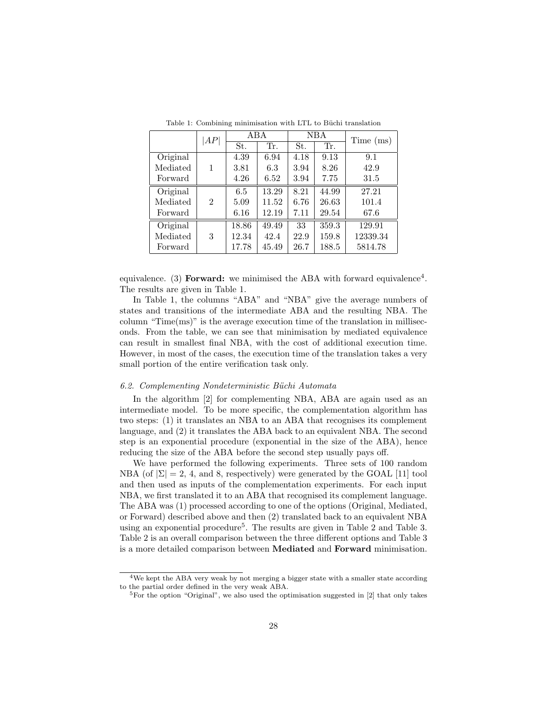|          | AP             | ABA   |       | NBA  |       | Time (ms) |
|----------|----------------|-------|-------|------|-------|-----------|
|          |                | St.   | Tr.   | St.  | Tr.   |           |
| Original |                | 4.39  | 6.94  | 4.18 | 9.13  | 9.1       |
| Mediated | 1              | 3.81  | 6.3   | 3.94 | 8.26  | 42.9      |
| Forward  |                | 4.26  | 6.52  | 3.94 | 7.75  | 31.5      |
| Original |                | 6.5   | 13.29 | 8.21 | 44.99 | 27.21     |
| Mediated | $\mathfrak{D}$ | 5.09  | 11.52 | 6.76 | 26.63 | 101.4     |
| Forward  |                | 6.16  | 12.19 | 7.11 | 29.54 | 67.6      |
| Original |                | 18.86 | 49.49 | 33   | 359.3 | 129.91    |
| Mediated | 3              | 12.34 | 42.4  | 22.9 | 159.8 | 12339.34  |
| Forward  |                | 17.78 | 45.49 | 26.7 | 188.5 | 5814.78   |

Table 1: Combining minimisation with LTL to Büchi translation

equivalence. (3) Forward: we minimised the ABA with forward equivalence<sup>4</sup>. The results are given in Table 1.

In Table 1, the columns "ABA" and "NBA" give the average numbers of states and transitions of the intermediate ABA and the resulting NBA. The column " $Time(ms)$ " is the average execution time of the translation in milliseconds. From the table, we can see that minimisation by mediated equivalence can result in smallest final NBA, with the cost of additional execution time. However, in most of the cases, the execution time of the translation takes a very small portion of the entire verification task only.

## 6.2. Complementing Nondeterministic Büchi Automata

In the algorithm [2] for complementing NBA, ABA are again used as an intermediate model. To be more specific, the complementation algorithm has two steps: (1) it translates an NBA to an ABA that recognises its complement language, and (2) it translates the ABA back to an equivalent NBA. The second step is an exponential procedure (exponential in the size of the ABA), hence reducing the size of the ABA before the second step usually pays off.

We have performed the following experiments. Three sets of 100 random NBA (of  $|\Sigma| = 2, 4$ , and 8, respectively) were generated by the GOAL [11] tool and then used as inputs of the complementation experiments. For each input NBA, we first translated it to an ABA that recognised its complement language. The ABA was (1) processed according to one of the options (Original, Mediated, or Forward) described above and then (2) translated back to an equivalent NBA using an exponential procedure<sup>5</sup>. The results are given in Table 2 and Table 3. Table 2 is an overall comparison between the three different options and Table 3 is a more detailed comparison between Mediated and Forward minimisation.

<sup>4</sup>We kept the ABA very weak by not merging a bigger state with a smaller state according to the partial order defined in the very weak ABA.

<sup>&</sup>lt;sup>5</sup>For the option "Original", we also used the optimisation suggested in [2] that only takes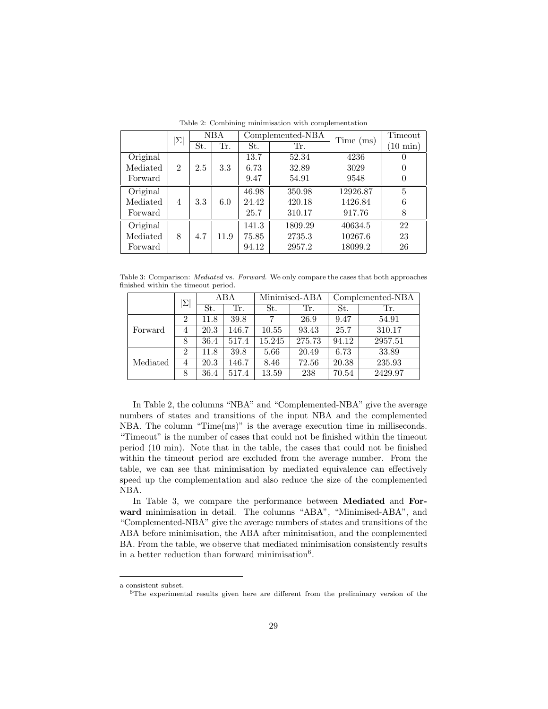|          | $\Sigma$       | <b>NBA</b> |      |       | Complemented-NBA | Time (ms) | Timeout            |
|----------|----------------|------------|------|-------|------------------|-----------|--------------------|
|          |                | St.        | Tr.  | St.   | Tr.              |           | $(10 \text{ min})$ |
| Original |                |            |      | 13.7  | 52.34            | 4236      |                    |
| Mediated | $\overline{2}$ | 2.5        | 3.3  | 6.73  | 32.89            | 3029      |                    |
| Forward  |                |            |      | 9.47  | 54.91            | 9548      | $\theta$           |
| Original |                |            |      | 46.98 | 350.98           | 12926.87  | 5                  |
| Mediated | $\overline{4}$ | 3.3        | 6.0  | 24.42 | 420.18           | 1426.84   | 6                  |
| Forward  |                |            |      | 25.7  | 310.17           | 917.76    | 8                  |
| Original |                |            |      | 141.3 | 1809.29          | 40634.5   | 22                 |
| Mediated | 8              | 4.7        | 11.9 | 75.85 | 2735.3           | 10267.6   | 23                 |
| Forward  |                |            |      | 94.12 | 2957.2           | 18099.2   | 26                 |

Table 2: Combining minimisation with complementation

Table 3: Comparison: Mediated vs. Forward. We only compare the cases that both approaches finished within the timeout period.

|          | Σ              | ABA  |       | Minimised-ABA |        | Complemented-NBA |         |
|----------|----------------|------|-------|---------------|--------|------------------|---------|
|          |                | St.  | Tr.   | St.           | Tr.    | St.              | Tr.     |
| Forward  | $\overline{2}$ | 11.8 | 39.8  | 7             | 26.9   | 9.47             | 54.91   |
|          | 4              | 20.3 | 146.7 | 10.55         | 93.43  | 25.7             | 310.17  |
|          | 8              | 36.4 | 517.4 | 15.245        | 275.73 | 94.12            | 2957.51 |
| Mediated | $\overline{2}$ | 11.8 | 39.8  | 5.66          | 20.49  | 6.73             | 33.89   |
|          | 4              | 20.3 | 146.7 | 8.46          | 72.56  | 20.38            | 235.93  |
|          | 8              | 36.4 | 517.4 | 13.59         | 238    | 70.54            | 2429.97 |

In Table 2, the columns "NBA" and "Complemented-NBA" give the average numbers of states and transitions of the input NBA and the complemented NBA. The column "Time(ms)" is the average execution time in milliseconds. "Timeout" is the number of cases that could not be finished within the timeout period (10 min). Note that in the table, the cases that could not be finished within the timeout period are excluded from the average number. From the table, we can see that minimisation by mediated equivalence can effectively speed up the complementation and also reduce the size of the complemented NBA.

In Table 3, we compare the performance between Mediated and Forward minimisation in detail. The columns "ABA", "Minimised-ABA", and "Complemented-NBA" give the average numbers of states and transitions of the ABA before minimisation, the ABA after minimisation, and the complemented BA. From the table, we observe that mediated minimisation consistently results in a better reduction than forward minimisation<sup>6</sup>.

a consistent subset.

 $6$ The experimental results given here are different from the preliminary version of the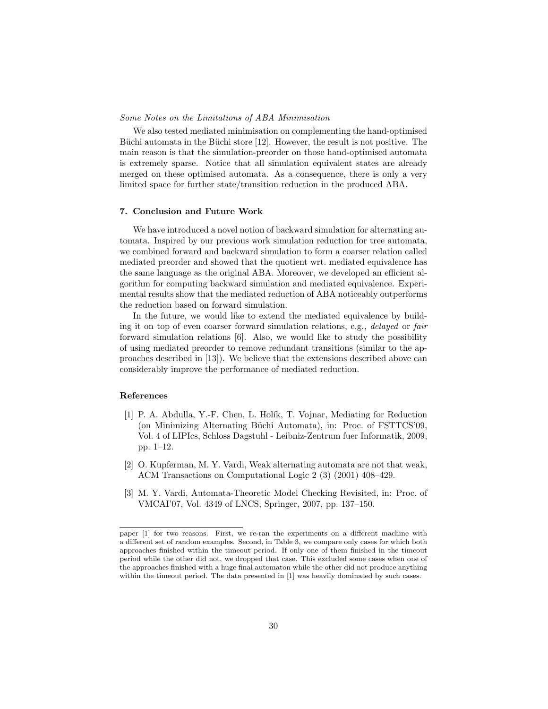#### Some Notes on the Limitations of ABA Minimisation

We also tested mediated minimisation on complementing the hand-optimised Büchi automata in the Büchi store [12]. However, the result is not positive. The main reason is that the simulation-preorder on those hand-optimised automata is extremely sparse. Notice that all simulation equivalent states are already merged on these optimised automata. As a consequence, there is only a very limited space for further state/transition reduction in the produced ABA.

#### 7. Conclusion and Future Work

We have introduced a novel notion of backward simulation for alternating automata. Inspired by our previous work simulation reduction for tree automata, we combined forward and backward simulation to form a coarser relation called mediated preorder and showed that the quotient wrt. mediated equivalence has the same language as the original ABA. Moreover, we developed an efficient algorithm for computing backward simulation and mediated equivalence. Experimental results show that the mediated reduction of ABA noticeably outperforms the reduction based on forward simulation.

In the future, we would like to extend the mediated equivalence by building it on top of even coarser forward simulation relations, e.g., delayed or fair forward simulation relations [6]. Also, we would like to study the possibility of using mediated preorder to remove redundant transitions (similar to the approaches described in [13]). We believe that the extensions described above can considerably improve the performance of mediated reduction.

#### References

- [1] P. A. Abdulla, Y.-F. Chen, L. Hol´ık, T. Vojnar, Mediating for Reduction (on Minimizing Alternating B¨uchi Automata), in: Proc. of FSTTCS'09, Vol. 4 of LIPIcs, Schloss Dagstuhl - Leibniz-Zentrum fuer Informatik, 2009, pp. 1–12.
- [2] O. Kupferman, M. Y. Vardi, Weak alternating automata are not that weak, ACM Transactions on Computational Logic 2 (3) (2001) 408–429.
- [3] M. Y. Vardi, Automata-Theoretic Model Checking Revisited, in: Proc. of VMCAI'07, Vol. 4349 of LNCS, Springer, 2007, pp. 137–150.

paper [1] for two reasons. First, we re-ran the experiments on a different machine with a different set of random examples. Second, in Table 3, we compare only cases for which both approaches finished within the timeout period. If only one of them finished in the timeout period while the other did not, we dropped that case. This excluded some cases when one of the approaches finished with a huge final automaton while the other did not produce anything within the timeout period. The data presented in [1] was heavily dominated by such cases.